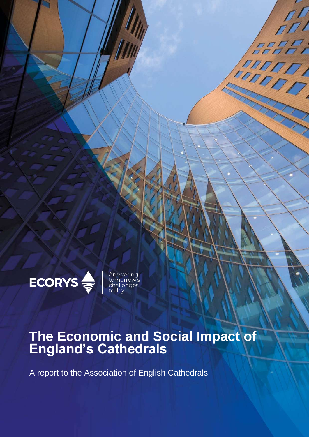

Answering<br>tomorrow's<br>challenges<br>today

# **The Economic and Social Impact of England's Cathedrals**

 $\sqrt{2}$ 

 $\sqrt{ }$ 

FRANT

A report to the Association of English Cathedrals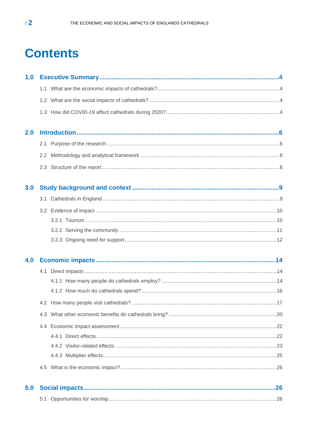# **Contents**

| 1.0 |  |
|-----|--|
|     |  |
|     |  |
|     |  |
| 2.0 |  |
|     |  |
|     |  |
|     |  |
| 3.0 |  |
|     |  |
|     |  |
|     |  |
|     |  |
|     |  |
| 4.0 |  |
|     |  |
|     |  |
|     |  |
|     |  |
|     |  |
|     |  |
|     |  |
|     |  |
|     |  |
|     |  |
| 5.0 |  |
|     |  |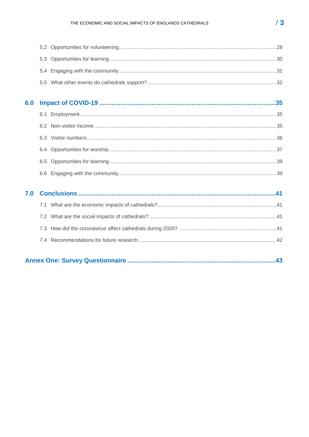|--|--|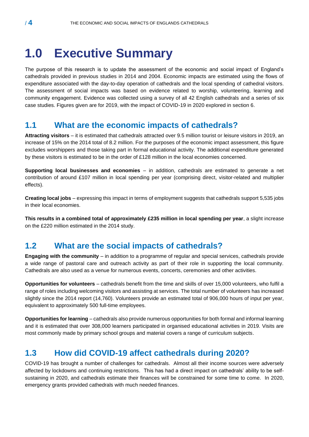# <span id="page-3-0"></span>**1.0 Executive Summary**

The purpose of this research is to update the assessment of the economic and social impact of England's cathedrals provided in previous studies in 2014 and 2004. Economic impacts are estimated using the flows of expenditure associated with the day-to-day operation of cathedrals and the local spending of cathedral visitors. The assessment of social impacts was based on evidence related to worship, volunteering, learning and community engagement. Evidence was collected using a survey of all 42 English cathedrals and a series of six case studies. Figures given are for 2019, with the impact of COVID-19 in 2020 explored in section 6.

### <span id="page-3-1"></span>**1.1 What are the economic impacts of cathedrals?**

**Attracting visitors** – it is estimated that cathedrals attracted over 9.5 million tourist or leisure visitors in 2019, an increase of 15% on the 2014 total of 8.2 million. For the purposes of the economic impact assessment, this figure excludes worshippers and those taking part in formal educational activity. The additional expenditure generated by these visitors is estimated to be in the order of £128 million in the local economies concerned.

**Supporting local businesses and economies** – in addition, cathedrals are estimated to generate a net contribution of around £107 million in local spending per year (comprising direct, visitor-related and multiplier effects).

**Creating local jobs** – expressing this impact in terms of employment suggests that cathedrals support 5,535 jobs in their local economies.

**This results in a combined total of approximately £235 million in local spending per year**, a slight increase on the £220 million estimated in the 2014 study.

# <span id="page-3-2"></span>**1.2 What are the social impacts of cathedrals?**

**Engaging with the community** – in addition to a programme of regular and special services, cathedrals provide a wide range of pastoral care and outreach activity as part of their role in supporting the local community. Cathedrals are also used as a venue for numerous events, concerts, ceremonies and other activities.

**Opportunities for volunteers** – cathedrals benefit from the time and skills of over 15,000 volunteers, who fulfil a range of roles including welcoming visitors and assisting at services. The total number of volunteers has increased slightly since the 2014 report (14,760). Volunteers provide an estimated total of 906,000 hours of input per year, equivalent to approximately 500 full-time employees.

**Opportunities for learning** – cathedrals also provide numerous opportunities for both formal and informal learning and it is estimated that over 308,000 learners participated in organised educational activities in 2019. Visits are most commonly made by primary school groups and material covers a range of curriculum subjects.

# <span id="page-3-3"></span>**1.3 How did COVID-19 affect cathedrals during 2020?**

COVID-19 has brought a number of challenges for cathedrals. Almost all their income sources were adversely affected by lockdowns and continuing restrictions. This has had a direct impact on cathedrals' ability to be selfsustaining in 2020, and cathedrals estimate their finances will be constrained for some time to come. In 2020, emergency grants provided cathedrals with much needed finances.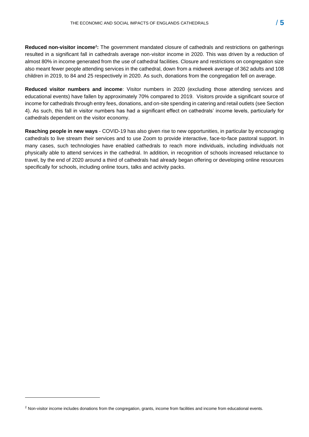Reduced non-visitor income<sup>1</sup>: The government mandated closure of cathedrals and restrictions on gatherings resulted in a significant fall in cathedrals average non-visitor income in 2020. This was driven by a reduction of almost 80% in income generated from the use of cathedral facilities. Closure and restrictions on congregation size also meant fewer people attending services in the cathedral, down from a midweek average of 362 adults and 108 children in 2019, to 84 and 25 respectively in 2020. As such, donations from the congregation fell on average.

**Reduced visitor numbers and income**: Visitor numbers in 2020 (excluding those attending services and educational events) have fallen by approximately 70% compared to 2019. Visitors provide a significant source of income for cathedrals through entry fees, donations, and on-site spending in catering and retail outlets (see Section 4). As such, this fall in visitor numbers has had a significant effect on cathedrals' income levels, particularly for cathedrals dependent on the visitor economy.

**Reaching people in new ways** - COVID-19 has also given rise to new opportunities, in particular by encouraging cathedrals to live stream their services and to use Zoom to provide interactive, face-to-face pastoral support. In many cases, such technologies have enabled cathedrals to reach more individuals, including individuals not physically able to attend services in the cathedral. In addition, in recognition of schools increased reluctance to travel, by the end of 2020 around a third of cathedrals had already began offering or developing online resources specifically for schools, including online tours, talks and activity packs.

<sup>&</sup>lt;sup>1</sup> Non-visitor income includes donations from the congregation, grants, income from facilities and income from educational events.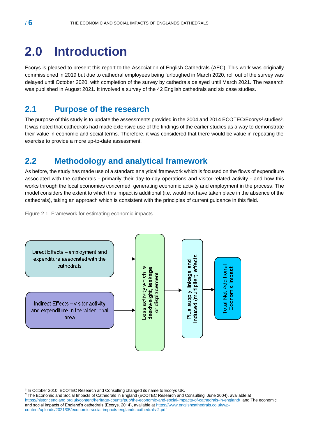# <span id="page-5-0"></span>**2.0 Introduction**

Ecorys is pleased to present this report to the Association of English Cathedrals (AEC). This work was originally commissioned in 2019 but due to cathedral employees being furloughed in March 2020, roll out of the survey was delayed until October 2020, with completion of the survey by cathedrals delayed until March 2021. The research was published in August 2021. It involved a survey of the 42 English cathedrals and six case studies.

### <span id="page-5-1"></span>**2.1 Purpose of the research**

The purpose of this study is to update the assessments provided in the 2004 and 2014 ECOTEC/Ecorys*<sup>2</sup>* studies*<sup>3</sup>* . It was noted that cathedrals had made extensive use of the findings of the earlier studies as a way to demonstrate their value in economic and social terms. Therefore, it was considered that there would be value in repeating the exercise to provide a more up-to-date assessment.

## <span id="page-5-2"></span>**2.2 Methodology and analytical framework**

As before, the study has made use of a standard analytical framework which is focused on the flows of expenditure associated with the cathedrals - primarily their day-to-day operations and visitor-related activity - and how this works through the local economies concerned, generating economic activity and employment in the process. The model considers the extent to which this impact is additional (i.e. would not have taken place in the absence of the cathedrals), taking an approach which is consistent with the principles of current guidance in this field.

Figure 2.1 Framework for estimating economic impacts



*<sup>2</sup>* In October 2010, ECOTEC Research and Consulting changed its name to Ecorys UK.

<sup>&</sup>lt;sup>3</sup> The Economic and Social Impacts of Cathedrals in England (ECOTEC Research and Consulting, June 2004), available at

<https://historicengland.org.uk/content/heritage-counts/pub/the-economic-and-social-impacts-of-cathedrals-in-england/> and The economic and social impacts of England's cathedrals (Ecorys, 2014), available at [https://www.englishcathedrals.co.uk/wp](https://www.englishcathedrals.co.uk/wp-content/uploads/2021/05/economic-social-impacts-englands-cathedrals-2.pdf)[content/uploads/2021/05/economic-social-impacts-englands-cathedrals-2.pdf](https://www.englishcathedrals.co.uk/wp-content/uploads/2021/05/economic-social-impacts-englands-cathedrals-2.pdf)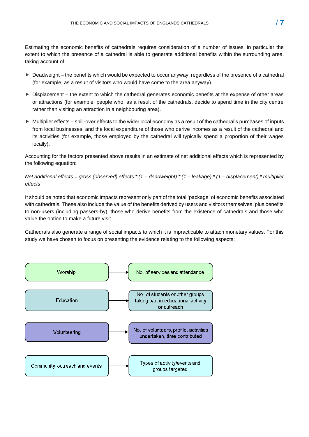Estimating the economic benefits of cathedrals requires consideration of a number of issues, in particular the extent to which the presence of a cathedral is able to generate additional benefits within the surrounding area, taking account of:

- ► Deadweight the benefits which would be expected to occur anyway, regardless of the presence of a cathedral (for example, as a result of visitors who would have come to the area anyway).
- $\triangleright$  Displacement the extent to which the cathedral generates economic benefits at the expense of other areas or attractions (for example, people who, as a result of the cathedrals, decide to spend time in the city centre rather than visiting an attraction in a neighbouring area).
- Multiplier effects spill-over effects to the wider local economy as a result of the cathedral's purchases of inputs from local businesses, and the local expenditure of those who derive incomes as a result of the cathedral and its activities (for example, those employed by the cathedral will typically spend a proportion of their wages locally).

Accounting for the factors presented above results in an estimate of net additional effects which is represented by the following equation:

*Net additional effects = gross (observed) effects \* (1 – deadweight) \* (1 – leakage) \* (1 – displacement) \* multiplier effects* 

It should be noted that economic impacts represent only part of the total 'package' of economic benefits associated with cathedrals. These also include the value of the benefits derived by users and visitors themselves, plus benefits to non-users (including passers-by), those who derive benefits from the existence of cathedrals and those who value the option to make a future visit.

Cathedrals also generate a range of social impacts to which it is impracticable to attach monetary values. For this study we have chosen to focus on presenting the evidence relating to the following aspects:

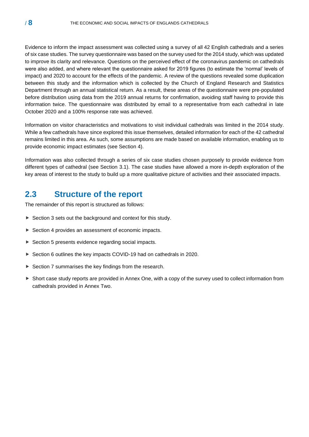Evidence to inform the impact assessment was collected using a survey of all 42 English cathedrals and a series of six case studies. The survey questionnaire was based on the survey used for the 2014 study, which was updated to improve its clarity and relevance. Questions on the perceived effect of the coronavirus pandemic on cathedrals were also added, and where relevant the questionnaire asked for 2019 figures (to estimate the 'normal' levels of impact) and 2020 to account for the effects of the pandemic. A review of the questions revealed some duplication between this study and the information which is collected by the Church of England Research and Statistics Department through an annual statistical return. As a result, these areas of the questionnaire were pre-populated before distribution using data from the 2019 annual returns for confirmation, avoiding staff having to provide this information twice. The questionnaire was distributed by email to a representative from each cathedral in late October 2020 and a 100% response rate was achieved.

Information on visitor characteristics and motivations to visit individual cathedrals was limited in the 2014 study. While a few cathedrals have since explored this issue themselves, detailed information for each of the 42 cathedral remains limited in this area. As such, some assumptions are made based on available information, enabling us to provide economic impact estimates (see Section 4).

Information was also collected through a series of six case studies chosen purposely to provide evidence from different types of cathedral (see Section 3.1). The case studies have allowed a more in-depth exploration of the key areas of interest to the study to build up a more qualitative picture of activities and their associated impacts.

### <span id="page-7-0"></span>**2.3 Structure of the report**

The remainder of this report is structured as follows:

- $\triangleright$  Section 3 sets out the background and context for this study.
- ▶ Section 4 provides an assessment of economic impacts.
- ▶ Section 5 presents evidence regarding social impacts.
- ▶ Section 6 outlines the key impacts COVID-19 had on cathedrals in 2020.
- Section 7 summarises the key findings from the research.
- Short case study reports are provided in Annex One, with a copy of the survey used to collect information from cathedrals provided in Annex Two.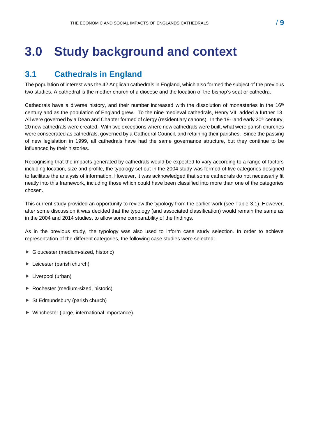# <span id="page-8-1"></span><span id="page-8-0"></span>**3.1 Cathedrals in England**

The population of interest was the 42 Anglican cathedrals in England, which also formed the subject of the previous two studies. A cathedral is the mother church of a diocese and the location of the bishop's seat or cathedra.

Cathedrals have a diverse history, and their number increased with the dissolution of monasteries in the 16<sup>th</sup> century and as the population of England grew. To the nine medieval cathedrals, Henry VIII added a further 13. All were governed by a Dean and Chapter formed of clergy (residentiary canons). In the 19th and early 20th century, 20 new cathedrals were created. With two exceptions where new cathedrals were built, what were parish churches were consecrated as cathedrals, governed by a Cathedral Council, and retaining their parishes. Since the passing of new legislation in 1999, all cathedrals have had the same governance structure, but they continue to be influenced by their histories.

Recognising that the impacts generated by cathedrals would be expected to vary according to a range of factors including location, size and profile, the typology set out in the 2004 study was formed of five categories designed to facilitate the analysis of information. However, it was acknowledged that some cathedrals do not necessarily fit neatly into this framework, including those which could have been classified into more than one of the categories chosen.

This current study provided an opportunity to review the typology from the earlier work (see Table 3.1). However, after some discussion it was decided that the typology (and associated classification) would remain the same as in the 2004 and 2014 studies, to allow some comparability of the findings.

As in the previous study, the typology was also used to inform case study selection. In order to achieve representation of the different categories, the following case studies were selected:

- Gloucester (medium-sized, historic)
- ► Leicester (parish church)
- **Liverpool (urban)**
- ▶ Rochester (medium-sized, historic)
- ▶ St Edmundsbury (parish church)
- ▶ Winchester (large, international importance).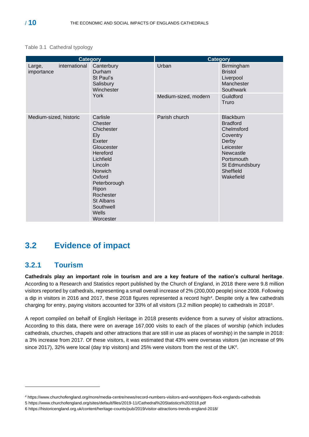#### Table 3.1 Cathedral typology

|                                       | <b>Category</b>                                                                                                                                                                                                 | <b>Category</b>      |                                                                                                                                                            |
|---------------------------------------|-----------------------------------------------------------------------------------------------------------------------------------------------------------------------------------------------------------------|----------------------|------------------------------------------------------------------------------------------------------------------------------------------------------------|
| international<br>Large,<br>importance | Canterbury<br>Durham<br>St Paul's<br>Salisbury<br>Winchester                                                                                                                                                    | Urban                | Birmingham<br><b>Bristol</b><br>Liverpool<br>Manchester<br>Southwark                                                                                       |
|                                       | York                                                                                                                                                                                                            | Medium-sized, modern | Guildford<br>Truro                                                                                                                                         |
| Medium-sized, historic                | Carlisle<br>Chester<br>Chichester<br>Ely<br>Exeter<br>Gloucester<br>Hereford<br>Lichfield<br>Lincoln<br>Norwich<br>Oxford<br>Peterborough<br>Ripon<br>Rochester<br>St Albans<br>Southwell<br>Wells<br>Worcester | Parish church        | <b>Blackburn</b><br><b>Bradford</b><br>Chelmsford<br>Coventry<br>Derby<br>Leicester<br>Newcastle<br>Portsmouth<br>St Edmundsbury<br>Sheffield<br>Wakefield |

# <span id="page-9-0"></span>**3.2 Evidence of impact**

### <span id="page-9-1"></span>**3.2.1 Tourism**

**Cathedrals play an important role in tourism and are a key feature of the nation's cultural heritage**. According to a Research and Statistics report published by the Church of England, in 2018 there were 9.8 million visitors reported by cathedrals, representing a small overall increase of 2% (200,000 people) since 2008. Following a dip in visitors in 2016 and 2017, these 2018 figures represented a record high*<sup>4</sup>* . Despite only a few cathedrals charging for entry, paying visitors accounted for 33% of all visitors (3.2 million people) to cathedrals in 2018*<sup>5</sup>* .

A report compiled on behalf of English Heritage in 2018 presents evidence from a survey of visitor attractions. According to this data, there were on average 167,000 visits to each of the places of worship (which includes cathedrals, churches, chapels and other attractions that are still in use as places of worship) in the sample in 2018: a 3% increase from 2017. Of these visitors, it was estimated that 43% were overseas visitors (an increase of 9% since 2017), 32% were local (day trip visitors) and 25% were visitors from the rest of the UK<sup>6</sup>.

*<sup>4</sup>* https://www.churchofengland.org/more/media-centre/news/record-numbers-visitors-and-worshippers-flock-englands-cathedrals

<sup>5</sup> <https://www.churchofengland.org/sites/default/files/2019-11/Cathedral%20Statistics%202018.pdf>

<sup>6</sup> <https://historicengland.org.uk/content/heritage-counts/pub/2019/visitor-attractions-trends-england-2018/>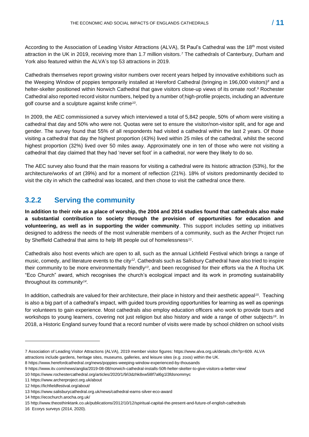According to the Association of Leading Visitor Attractions (ALVA), St Paul's Cathedral was the 18th most visited attraction in the UK in 2019, receiving more than 1.7 million visitors.*<sup>7</sup>* The cathedrals of Canterbury, Durham and York also featured within the ALVA's top 53 attractions in 2019.

Cathedrals themselves report growing visitor numbers over recent years helped by innovative exhibitions such as the Weeping Window of poppies temporarily installed at Hereford Cathedral (bringing in 196,000 visitors) *<sup>8</sup>* and a helter-skelter positioned within Norwich Cathedral that gave visitors close-up views of its ornate roof.*<sup>9</sup>* Rochester Cathedral also reported record visitor numbers, helped by a number of high-profile projects, including an adventure golf course and a sculpture against knife crime*<sup>10</sup>* .

In 2009, the AEC commissioned a survey which interviewed a total of 5,842 people, 50% of whom were visiting a cathedral that day and 50% who were not. Quotas were set to ensure the visitor/non-visitor split, and for age and gender. The survey found that 55% of all respondents had visited a cathedral within the last 2 years. Of those visiting a cathedral that day the highest proportion (43%) lived within 25 miles of the cathedral, whilst the second highest proportion (32%) lived over 50 miles away. Approximately one in ten of those who were not visiting a cathedral that day claimed that they had 'never set foot' in a cathedral, nor were they likely to do so.

The AEC survey also found that the main reasons for visiting a cathedral were its historic attraction (53%), for the architecture/works of art (39%) and for a moment of reflection (21%). 18% of visitors predominantly decided to visit the city in which the cathedral was located, and then chose to visit the cathedral once there.

### <span id="page-10-0"></span>**3.2.2 Serving the community**

**In addition to their role as a place of worship, the 2004 and 2014 studies found that cathedrals also make a substantial contribution to society through the provision of opportunities for education and volunteering, as well as in supporting the wider community**. This support includes setting up initiatives designed to address the needs of the most vulnerable members of a community, such as the Archer Project run by Sheffield Cathedral that aims to help lift people out of homelessness*<sup>11</sup>* .

Cathedrals also host events which are open to all, such as the annual Lichfield Festival which brings a range of music, comedy, and literature events to the city<sup>12</sup>. Cathedrals such as Salisbury Cathedral have also tried to inspire their community to be more environmentally friendly<sup>13</sup>, and been recognised for their efforts via the A Rocha UK "Eco Church" award, which recognises the church's ecological impact and its work in promoting sustainability throughout its community*<sup>14</sup>* .

In addition, cathedrals are valued for their architecture, their place in history and their aesthetic appeal*<sup>15</sup>* . Teaching is also a big part of a cathedral's impact, with guided tours providing opportunities for learning as well as openings for volunteers to gain experience. Most cathedrals also employ education officers who work to provide tours and workshops to young learners, covering not just religion but also history and wide a range of other subjects*<sup>16</sup>* . In 2018, a Historic England survey found that a record number of visits were made by school children on school visits

<sup>7</sup> Association of Leading Visitor Attractions (ALVA), 2019 member visitor figures: https://www.alva.org.uk/details.cfm?p=609. ALVA attractions include gardens, heritage sites, museums, galleries, and leisure sites (e.g. zoos) within the UK.

<sup>8</sup> https://www.herefordcathedral.org/news/poppies-weeping-window-experienced-by-thousands

<sup>9</sup> https://www.itv.com/news/anglia/2019-08-08/norwich-cathedral-installs-50ft-helter-skelter-to-give-visitors-a-better-view/

<sup>10</sup> https://www.rochestercathedral.org/articles/2020/1/9/i3dzhk8xw5l8f7al6g1l3fdsnommyc

<sup>11</sup> https://www.archerproject.org.uk/about

<sup>12</sup> https://lichfieldfestival.org/about/

<sup>13</sup> https://www.salisburycathedral.org.uk/news/cathedral-earns-silver-eco-award

<sup>14</sup> https://ecochurch.arocha.org.uk/

<sup>15</sup> http://www.theosthinktank.co.uk/publications/2012/10/12/spiritual-capital-the-present-and-future-of-english-cathedrals

<sup>16</sup> Ecorys surveys (2014, 2020).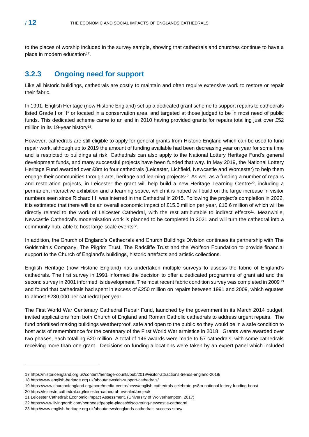to the places of worship included in the survey sample, showing that cathedrals and churches continue to have a place in modern education*<sup>17</sup>* .

### <span id="page-11-0"></span>**3.2.3 Ongoing need for support**

Like all historic buildings, cathedrals are costly to maintain and often require extensive work to restore or repair their fabric.

In 1991, English Heritage (now Historic England) set up a dedicated grant scheme to support repairs to cathedrals listed Grade I or II\* or located in a conservation area, and targeted at those judged to be in most need of public funds. This dedicated scheme came to an end in 2010 having provided grants for repairs totalling just over £52 million in its 19-year history*<sup>18</sup>* .

However, cathedrals are still eligible to apply for general grants from Historic England which can be used to fund repair work, although up to 2019 the amount of funding available had been decreasing year on year for some time and is restricted to buildings at risk. Cathedrals can also apply to the National Lottery Heritage Fund's general development funds, and many successful projects have been funded that way. In May 2019, the National Lottery Heritage Fund awarded over £8m to four cathedrals (Leicester, Lichfield, Newcastle and Worcester) to help them engage their communities through arts, heritage and learning projects*19*. As well as a funding a number of repairs and restoration projects, in Leicester the grant will help build a new Heritage Learning Centre*20*, including a permanent interactive exhibition and a learning space, which it is hoped will build on the large increase in visitor numbers seen since Richard III was interred in the Cathedral in 2015. Following the project's completion in 2022, it is estimated that there will be an overall economic impact of £15.0 million per year, £10.6 million of which will be directly related to the work of Leicester Cathedral, with the rest attributable to indirect effects*<sup>21</sup>* . Meanwhile, Newcastle Cathedral's modernisation work is planned to be completed in 2021 and will turn the cathedral into a community hub, able to host large-scale events*<sup>22</sup>* .

In addition, the Church of England's Cathedrals and Church Buildings Division continues its partnership with The Goldsmith's Company, The Pilgrim Trust, The Radcliffe Trust and the Wolfson Foundation to provide financial support to the Church of England's buildings, historic artefacts and artistic collections.

English Heritage (now Historic England) has undertaken multiple surveys to assess the fabric of England's cathedrals. The first survey in 1991 informed the decision to offer a dedicated programme of grant aid and the second survey in 2001 informed its development. The most recent fabric condition survey was completed in 2009<sup>i</sup>*<sup>23</sup>* and found that cathedrals had spent in excess of £250 million on repairs between 1991 and 2009, which equates to almost £230,000 per cathedral per year.

The First World War Centenary Cathedral Repair Fund, launched by the government in its March 2014 budget, invited applications from both Church of England and Roman Catholic cathedrals to address urgent repairs. The fund prioritised making buildings weatherproof, safe and open to the public so they would be in a safe condition to host acts of remembrance for the centenary of the First World War armistice in 2018. Grants were awarded over two phases, each totalling £20 million. A total of 146 awards were made to 57 cathedrals, with some cathedrals receiving more than one grant. Decisions on funding allocations were taken by an expert panel which included

<sup>17</sup> https://historicengland.org.uk/content/heritage-counts/pub/2019/visitor-attractions-trends-england-2018/

<sup>18</sup> http://www.english-heritage.org.uk/about/news/eh-support-cathedrals/

<sup>19</sup> <https://www.churchofengland.org/more/media-centre/news/english-cathedrals-celebrate-ps8m-national-lottery-funding-boost>

<sup>20</sup> https://leicestercathedral.org/leicester-cathedral-revealed/project/

<sup>21</sup> Leicester Cathedral: Economic Impact Assessment, (University of Wolverhampton, 2017)

<sup>22</sup> https://www.livingnorth.com/northeast/people-places/discovering-newcastle-cathedral

<sup>23</sup> http://www.english-heritage.org.uk/about/news/englands-cathedrals-success-story/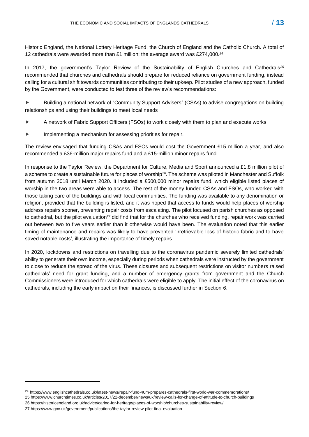Historic England, the National Lottery Heritage Fund, the Church of England and the Catholic Church. A total of 12 cathedrals were awarded more than £1 million; the average award was £274,000.*<sup>24</sup>*

In 2017, the government's Taylor Review of the Sustainability of English Churches and Cathedrals*<sup>25</sup>* recommended that churches and cathedrals should prepare for reduced reliance on government funding, instead calling for a cultural shift towards communities contributing to their upkeep. Pilot studies of a new approach, funded by the Government, were conducted to test three of the review's recommendations:

 Building a national network of "Community Support Advisers" (CSAs) to advise congregations on building relationships and using their buildings to meet local needs

- A network of Fabric Support Officers (FSOs) to work closely with them to plan and execute works
- **IMPLEMENTIFY A META** implementing a mechanism for assessing priorities for repair.

The review envisaged that funding CSAs and FSOs would cost the Government £15 million a year, and also recommended a £36-million major repairs fund and a £15-million minor repairs fund.

In response to the Taylor Review, the Department for Culture, Media and Sport announced a £1.8 million pilot of a scheme to create a sustainable future for places of worship*26*. The scheme was piloted in Manchester and Suffolk from autumn 2018 until March 2020. It included a £500,000 minor repairs fund, which eligible listed places of worship in the two areas were able to access. The rest of the money funded CSAs and FSOs, who worked with those taking care of the buildings and with local communities. The funding was available to any denomination or religion, provided that the building is listed, and it was hoped that access to funds would help places of worship address repairs sooner, preventing repair costs from escalating. The pilot focused on parish churches as opposed to cathedral, but the pilot evaluation*<sup>27</sup>* did find that for the churches who received funding, repair work was carried out between two to five years earlier than it otherwise would have been. The evaluation noted that this earlier timing of maintenance and repairs was likely to have prevented 'irretrievable loss of historic fabric and to have saved notable costs', illustrating the importance of timely repairs.

In 2020, lockdowns and restrictions on travelling due to the coronavirus pandemic severely limited cathedrals' ability to generate their own income, especially during periods when cathedrals were instructed by the government to close to reduce the spread of the virus. These closures and subsequent restrictions on visitor numbers raised cathedrals' need for grant funding, and a number of emergency grants from government and the Church Commissioners were introduced for which cathedrals were eligible to apply. The initial effect of the coronavirus on cathedrals, including the early impact on their finances, is discussed further in Section 6.

*<sup>24</sup>* https://www.englishcathedrals.co.uk/latest-news/repair-fund-40m-prepares-cathedrals-first-world-war-commemorations/ 25 https://www.churchtimes.co.uk/articles/2017/22-december/news/uk/review-calls-for-change-of-attitude-to-church-buildings

<sup>26</sup> https://historicengland.org.uk/advice/caring-for-heritage/places-of-worship/churches-sustainability-review/

<sup>27</sup> https://www.gov.uk/government/publications/the-taylor-review-pilot-final-evaluation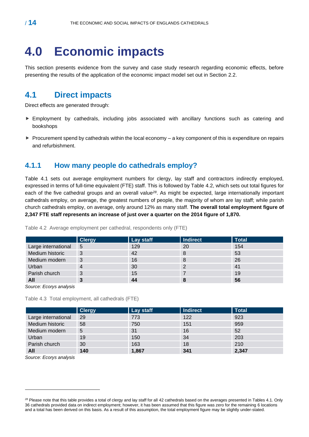# <span id="page-13-0"></span>**4.0 Economic impacts**

This section presents evidence from the survey and case study research regarding economic effects, before presenting the results of the application of the economic impact model set out in Section 2.2.

### <span id="page-13-1"></span>**4.1 Direct impacts**

Direct effects are generated through:

- Employment by cathedrals, including jobs associated with ancillary functions such as catering and bookshops
- $\triangleright$  Procurement spend by cathedrals within the local economy a key component of this is expenditure on repairs and refurbishment.

### <span id="page-13-2"></span>**4.1.1 How many people do cathedrals employ?**

Table 4.1 sets out average employment numbers for clergy, lay staff and contractors indirectly employed, expressed in terms of full-time equivalent (FTE) staff. This is followed by Table 4.2, which sets out total figures for each of the five cathedral groups and an overall value*<sup>28</sup>*. As might be expected, large internationally important cathedrals employ, on average, the greatest numbers of people, the majority of whom are lay staff; while parish church cathedrals employ, on average, only around 12% as many staff. **The overall total employment figure of 2,347 FTE staff represents an increase of just over a quarter on the 2014 figure of 1,870.** 

|                     | <b>Clergy</b> | Lay staff | <b>Indirect</b> | <b>Total</b> |
|---------------------|---------------|-----------|-----------------|--------------|
| Large international | 5             | 129       | 20              | 154          |
| Medium historic     | 3             | 42        | 8               | 53           |
| Medium modern       | 3             | 16        | 8               | 26           |
| Urban               | 4             | 30        | 2               | 41           |
| Parish church       | 3             | 15        |                 | 19           |
| All                 | 3             | 44        | 8               | 56           |

Table 4.2 Average employment per cathedral, respondents only (FTE)

*Source: Ecorys analysis*

Table 4.3 Total employment, all cathedrals (FTE)

|                     | <b>Clergy</b> | Lay staff | <b>Indirect</b> | <b>Total</b> |
|---------------------|---------------|-----------|-----------------|--------------|
| Large international | 29            | 773       | 122             | 923          |
| Medium historic     | 58            | 750       | 151             | 959          |
| Medium modern       | 5             | 31        | 16              | 52           |
| Urban               | 19            | 150       | 34              | 203          |
| Parish church       | 30            | 163       | 18              | 210          |
| All                 | 140           | 1,867     | 341             | 2,347        |

*Source: Ecorys analysis*

<sup>&</sup>lt;sup>28</sup> Please note that this table provides a total of clergy and lay staff for all 42 cathedrals based on the averages presented in Tables 4.1. Only 36 cathedrals provided data on indirect employment; however, it has been assumed that this figure was zero for the remaining 6 locations and a total has been derived on this basis. As a result of this assumption, the total employment figure may be slightly under-stated.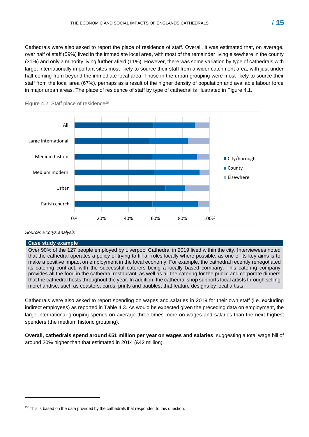Cathedrals were also asked to report the place of residence of staff. Overall, it was estimated that, on average, over half of staff (59%) lived in the immediate local area, with most of the remainder living elsewhere in the county (31%) and only a minority living further afield (11%). However, there was some variation by type of cathedrals with large, internationally important sites most likely to source their staff from a wider catchment area, with just under half coming from beyond the immediate local area. Those in the urban grouping were most likely to source their staff from the local area (67%), perhaps as a result of the higher density of population and available labour force in major urban areas. The place of residence of staff by type of cathedral is illustrated in Figure 4.1.





#### *Source: Ecorys analysis*

#### **Case study example**

Over 90% of the 127 people employed by Liverpool Cathedral in 2019 lived within the city. Interviewees noted that the cathedral operates a policy of trying to fill all roles locally where possible, as one of its key aims is to make a positive impact on employment in the local economy. For example, the cathedral recently renegotiated its catering contract, with the successful caterers being a locally based company. This catering company provides all the food in the cathedral restaurant, as well as all the catering for the public and corporate dinners that the cathedral hosts throughout the year. In addition, the cathedral shop supports local artists through selling merchandise, such as coasters, cards, prints and baubles, that feature designs by local artists.

Cathedrals were also asked to report spending on wages and salaries in 2019 for their own staff (i.e. excluding indirect employees) as reported in Table 4.3. As would be expected given the preceding data on employment, the large international grouping spends on average three times more on wages and salaries than the next highest spenders (the medium historic grouping).

**Overall, cathedrals spend around £51 million per year on wages and salaries**, suggesting a total wage bill of around 20% higher than that estimated in 2014 (£42 million).

<sup>&</sup>lt;sup>29</sup> This is based on the data provided by the cathedrals that responded to this question.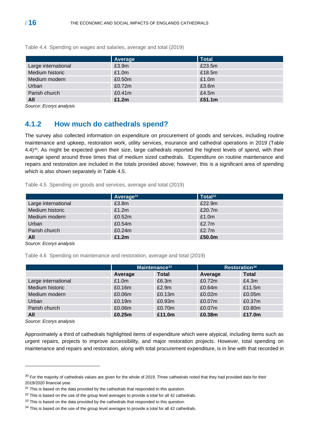|                     | Average            | <b>Total</b> |
|---------------------|--------------------|--------------|
| Large international | £3.9m              | £23.5m       |
| Medium historic     | £1.0m              | £18.5m       |
| Medium modern       | £0.50m             | £1.0m        |
| Urban               | £0.72m             | £3.6m        |
| Parish church       | £0.41 <sub>m</sub> | £4.5 $m$     |
| All                 | £1.2m              | £51.1m       |

Table 4.4 Spending on wages and salaries, average and total (2019)

<span id="page-15-0"></span>*Source: Ecorys analysis*

### **4.1.2 How much do cathedrals spend?**

The survey also collected information on expenditure on procurement of goods and services, including routine maintenance and upkeep, restoration work, utility services, insurance and cathedral operations in 2019 (Table 4.4)*30*. As might be expected given their size, large cathedrals reported the highest levels of spend, with their average spend around three times that of medium sized cathedrals. Expenditure on routine maintenance and repairs and restoration are included in the totals provided above; however, this is a significant area of spending which is also shown separately in Table 4.5.

Table 4.5 Spending on goods and services, average and total (2019)

|                     | Average $31$ | Total <sup>32</sup> |
|---------------------|--------------|---------------------|
| Large international | £3.8m        | £22.9m              |
| Medium historic     | £1.2m        | £20.7m              |
| Medium modern       | £0.52m       | £1.0m               |
| Urban               | £0.54m       | £2.7m               |
| Parish church       | £0.24m       | £2.7m               |
| All                 | £1.2m        | £50.0m              |

*Source: Ecorys analysis*

Table 4.6 Spending on maintenance and restoration, average and total (2019)

|                     | Maintenance <sup>33</sup> |              |         | Restoration <sup>34</sup> |
|---------------------|---------------------------|--------------|---------|---------------------------|
|                     | Average                   | <b>Total</b> | Average | <b>Total</b>              |
| Large international | £1.0m                     | £6.3m        | £0.72m  | £4.3m                     |
| Medium historic     | £0.16m                    | £2.9m        | £0.64m  | £11.5m                    |
| Medium modern       | £0.06m                    | £0.13m       | £0.02m  | £0.05m                    |
| Urban               | £0.19m                    | £0.93m       | £0.07m  | £0.37m                    |
| Parish church       | £0.06m                    | £0.70m       | £0.07m  | £0.80m                    |
| All                 | £0.25m                    | £11.0m       | £0.38m  | £17.0m                    |

*Source: Ecorys analysis*

Approximately a third of cathedrals highlighted items of expenditure which were atypical, including items such as urgent repairs, projects to improve accessibility, and major restoration projects. However, total spending on maintenance and repairs and restoration, along with total procurement expenditure, is in line with that recorded in

*<sup>30</sup>* For the majority of cathedrals values are given for the whole of 2019. Three cathedrals noted that they had provided data for their 2019/2020 financial year.

*<sup>31</sup>* This is based on the data provided by the cathedrals that responded to this question.

*<sup>32</sup>* This is based on the use of the group level averages to provide a total for all 42 cathedrals.

*<sup>33</sup>* This is based on the data provided by the cathedrals that responded to this question.

<sup>&</sup>lt;sup>34</sup> This is based on the use of the group level averages to provide a total for all 42 cathedrals.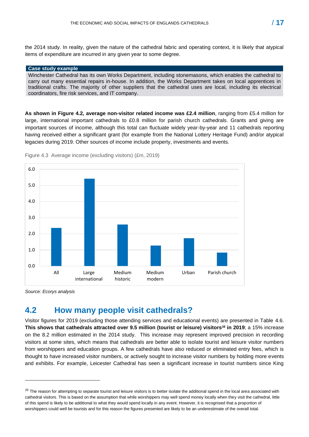the 2014 study. In reality, given the nature of the cathedral fabric and operating context, it is likely that atypical items of expenditure are incurred in any given year to some degree.

#### **Case study example**

Winchester Cathedral has its own Works Department, including stonemasons, which enables the cathedral to carry out many essential repairs in-house. In addition, the Works Department takes on local apprentices in traditional crafts. The majority of other suppliers that the cathedral uses are local, including its electrical coordinators, fire risk services, and IT company.

**As shown in Figure 4.2, average non-visitor related income was £2.4 million**, ranging from £5.4 million for large, international important cathedrals to £0.8 million for parish church cathedrals. Grants and giving are important sources of income, although this total can fluctuate widely year-by-year and 11 cathedrals reporting having received either a significant grant (for example from the National Lottery Heritage Fund) and/or atypical legacies during 2019. Other sources of income include property, investments and events.



Figure 4.3 Average income (excluding visitors) (£m, 2019)

*Source: Ecorys analysis*

# <span id="page-16-0"></span>**4.2 How many people visit cathedrals?**

Visitor figures for 2019 (excluding those attending services and educational events) are presented in Table 4.6. **This shows that cathedrals attracted over 9.5 million (tourist or leisure) visitors***<sup>35</sup>* **in 2019**; a 15% increase on the 8.2 million estimated in the 2014 study. This increase may represent improved precision in recording visitors at some sites, which means that cathedrals are better able to isolate tourist and leisure visitor numbers from worshippers and education groups. A few cathedrals have also reduced or eliminated entry fees, which is thought to have increased visitor numbers, or actively sought to increase visitor numbers by holding more events and exhibits. For example, Leicester Cathedral has seen a significant increase in tourist numbers since King

*<sup>35</sup>* The reason for attempting to separate tourist and leisure visitors is to better isolate the additional spend in the local area associated with cathedral visitors. This is based on the assumption that while worshippers may well spend money locally when they visit the cathedral, little of this spend is likely to be additional to what they would spend locally in any event. However, it is recognised that a proportion of worshippers could well be tourists and for this reason the figures presented are likely to be an underestimate of the overall total.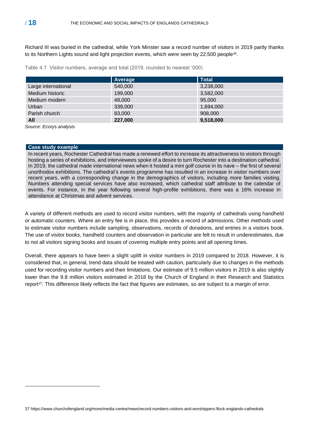Richard III was buried in the cathedral, while York Minster saw a record number of visitors in 2019 partly thanks to its Northern Lights sound and light projection events, which were seen by 22,500 people*<sup>36</sup>* .

Table 4.7 Visitor numbers, average and total (2019, rounded to nearest '000)

|                     | Average | <b>Total</b> |
|---------------------|---------|--------------|
| Large international | 540,000 | 3,238,000    |
| Medium historic     | 199,000 | 3,582,000    |
| Medium modern       | 48,000  | 95,000       |
| Urban               | 339,000 | 1,694,000    |
| Parish church       | 83,000  | 908,000      |
| All                 | 227,000 | 9,518,000    |

*Source: Ecorys analysis*

#### **Case study example**

In recent years, Rochester Cathedral has made a renewed effort to increase its attractiveness to visitors through hosting a series of exhibitions, and interviewees spoke of a desire to turn Rochester into a destination cathedral. In 2019, the cathedral made international news when it hosted a mini golf course in its nave – the first of several unorthodox exhibitions. The cathedral's events programme has resulted in an increase in visitor numbers over recent years, with a corresponding change in the demographics of visitors, including more families visiting. Numbers attending special services have also increased, which cathedral staff attribute to the calendar of events. For instance, in the year following several high-profile exhibitions, there was a 16% increase in attendance at Christmas and advent services.

A variety of different methods are used to record visitor numbers, with the majority of cathedrals using handheld or automatic counters. Where an entry fee is in place, this provides a record of admissions. Other methods used to estimate visitor numbers include sampling, observations, records of donations, and entries in a visitors book. The use of visitor books, handheld counters and observation in particular are felt to result in underestimates, due to not all visitors signing books and issues of covering multiple entry points and all opening times.

Overall, there appears to have been a slight uplift in visitor numbers in 2019 compared to 2018. However, it is considered that, in general, trend data should be treated with caution, particularly due to changes in the methods used for recording visitor numbers and their limitations. Our estimate of 9.5 million visitors in 2019 is also slightly lower than the 9.8 million visitors estimated in 2018 by the Church of England in their Research and Statistics report*37*. This difference likely reflects the fact that figures are estimates, so are subject to a margin of error.

<sup>37</sup> https://www.churchofengland.org/more/media-centre/news/record-numbers-visitors-and-worshippers-flock-englands-cathedrals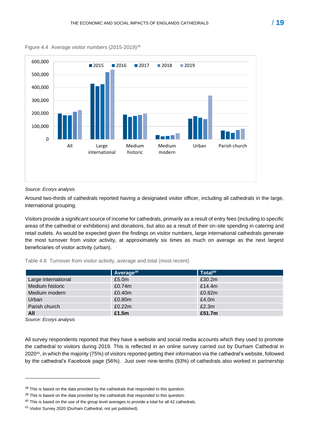

Figure 4.4 Average visitor numbers (2015-2019)<sup>38</sup>

*Source: Ecorys analysis*

Around two-thirds of cathedrals reported having a designated visitor officer, including all cathedrals in the large, international grouping.

Visitors provide a significant source of income for cathedrals, primarily as a result of entry fees (including to specific areas of the cathedral or exhibitions) and donations, but also as a result of their on-site spending in catering and retail outlets. As would be expected given the findings on visitor numbers, large international cathedrals generate the most turnover from visitor activity, at approximately six times as much on average as the next largest beneficiaries of visitor activity (urban).

Table 4.8 Turnover from visitor activity, average and total (most recent)

|                     | Average <sup>39</sup> | Total <sup>40</sup> |
|---------------------|-----------------------|---------------------|
| Large international | £5.0 <sub>m</sub>     | £30.2m              |
| Medium historic     | £0.74m                | £14.4m              |
| Medium modern       | £0.40m                | £0.82m              |
| Urban               | £0.80m                | £4.0m               |
| Parish church       | £0.22m                | £2.3m               |
| All                 | £1.5m                 | £51.7m              |

*Source: Ecorys analysis*

All survey respondents reported that they have a website and social media accounts which they used to promote the cathedral to visitors during 2019. This is reflected in an online survey carried out by Durham Cathedral in 2020*<sup>41</sup>* , in which the majority (75%) of visitors reported getting their information via the cathedral's website, followed by the cathedral's Facebook page (56%). Just over nine-tenths (93%) of cathedrals also worked in partnership

*<sup>38</sup>* This is based on the data provided by the cathedrals that responded to this question.

*<sup>39</sup>* This is based on the data provided by the cathedrals that responded to this question.

*<sup>40</sup>* This is based on the use of the group level averages to provide a total for all 42 cathedrals.

*<sup>41</sup>* Visitor Survey 2020 (Durham Cathedral, not yet published).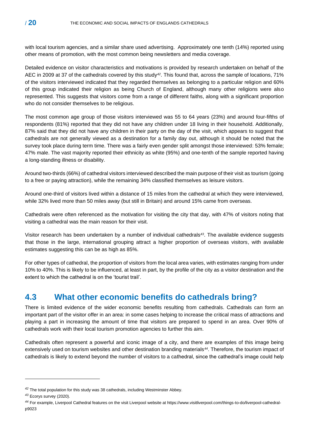with local tourism agencies, and a similar share used advertising. Approximately one tenth (14%) reported using other means of promotion, with the most common being newsletters and media coverage.

Detailed evidence on visitor characteristics and motivations is provided by research undertaken on behalf of the AEC in 2009 at 37 of the cathedrals covered by this study*42*. This found that, across the sample of locations, 71% of the visitors interviewed indicated that they regarded themselves as belonging to a particular religion and 60% of this group indicated their religion as being Church of England, although many other religions were also represented. This suggests that visitors come from a range of different faiths, along with a significant proportion who do not consider themselves to be religious.

The most common age group of those visitors interviewed was 55 to 64 years (23%) and around four-fifths of respondents (81%) reported that they did not have any children under 18 living in their household. Additionally, 87% said that they did not have any children in their party on the day of the visit, which appears to suggest that cathedrals are not generally viewed as a destination for a family day out, although it should be noted that the survey took place during term time. There was a fairly even gender split amongst those interviewed: 53% female; 47% male. The vast majority reported their ethnicity as white (95%) and one-tenth of the sample reported having a long-standing illness or disability.

Around two-thirds (66%) of cathedral visitors interviewed described the main purpose of their visit as tourism (going to a free or paying attraction), while the remaining 34% classified themselves as leisure visitors.

Around one-third of visitors lived within a distance of 15 miles from the cathedral at which they were interviewed, while 32% lived more than 50 miles away (but still in Britain) and around 15% came from overseas.

Cathedrals were often referenced as the motivation for visiting the city that day, with 47% of visitors noting that visiting a cathedral was the main reason for their visit.

Visitor research has been undertaken by a number of individual cathedrals*<sup>43</sup>* . The available evidence suggests that those in the large, international grouping attract a higher proportion of overseas visitors, with available estimates suggesting this can be as high as 85%.

For other types of cathedral, the proportion of visitors from the local area varies, with estimates ranging from under 10% to 40%. This is likely to be influenced, at least in part, by the profile of the city as a visitor destination and the extent to which the cathedral is on the 'tourist trail'.

### <span id="page-19-0"></span>**4.3 What other economic benefits do cathedrals bring?**

There is limited evidence of the wider economic benefits resulting from cathedrals. Cathedrals can form an important part of the visitor offer in an area: in some cases helping to increase the critical mass of attractions and playing a part in increasing the amount of time that visitors are prepared to spend in an area. Over 90% of cathedrals work with their local tourism promotion agencies to further this aim.

Cathedrals often represent a powerful and iconic image of a city, and there are examples of this image being extensively used on tourism websites and other destination branding materials*<sup>44</sup>* . Therefore, the tourism impact of cathedrals is likely to extend beyond the number of visitors to a cathedral, since the cathedral's image could help

*<sup>42</sup>* The total population for this study was 38 cathedrals, including Westminster Abbey.

*<sup>43</sup>* Ecorys survey (2020).

*<sup>44</sup>* For example, Liverpool Cathedral features on the visit Liverpool website at https://www.visitliverpool.com/things-to-do/liverpool-cathedralp9023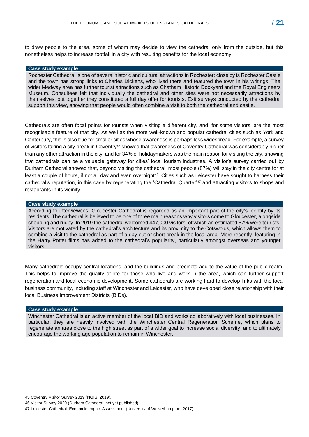to draw people to the area, some of whom may decide to view the cathedral only from the outside, but this nonetheless helps to increase footfall in a city with resulting benefits for the local economy.

#### **Case study example**

Rochester Cathedral is one of several historic and cultural attractions in Rochester: close by is Rochester Castle and the town has strong links to Charles Dickens, who lived there and featured the town in his writings. The wider Medway area has further tourist attractions such as Chatham Historic Dockyard and the Royal Engineers Museum. Consultees felt that individually the cathedral and other sites were not necessarily attractions by themselves, but together they constituted a full day offer for tourists. Exit surveys conducted by the cathedral support this view, showing that people would often combine a visit to both the cathedral and castle.

Cathedrals are often focal points for tourists when visiting a different city, and, for some visitors, are the most recognisable feature of that city. As well as the more well-known and popular cathedral cities such as York and Canterbury, this is also true for smaller cities whose awareness is perhaps less widespread. For example, a survey of visitors taking a city break in Coventry*<sup>45</sup>* showed that awareness of Coventry Cathedral was considerably higher than any other attraction in the city, and for 34% of holidaymakers was the main reason for visiting the city, showing that cathedrals can be a valuable gateway for cities' local tourism industries. A visitor's survey carried out by Durham Cathedral showed that, beyond visiting the cathedral, most people (87%) will stay in the city centre for at least a couple of hours, if not all day and even overnight*<sup>46</sup>* . Cities such as Leicester have sought to harness their cathedral's reputation, in this case by regenerating the 'Cathedral Quarter'*<sup>47</sup>* and attracting visitors to shops and restaurants in its vicinity.

#### **Case study example**

According to interviewees, Gloucester Cathedral is regarded as an important part of the city's identity by its residents. The cathedral is believed to be one of three main reasons why visitors come to Gloucester, alongside shopping and rugby. In 2019 the cathedral welcomed 447,000 visitors, of which an estimated 57% were tourists. Visitors are motivated by the cathedral's architecture and its proximity to the Cotswolds, which allows them to combine a visit to the cathedral as part of a day out or short break in the local area. More recently, featuring in the Harry Potter films has added to the cathedral's popularity, particularly amongst overseas and younger visitors.

Many cathedrals occupy central locations, and the buildings and precincts add to the value of the public realm. This helps to improve the quality of life for those who live and work in the area, which can further support regeneration and local economic development. Some cathedrals are working hard to develop links with the local business community, including staff at Winchester and Leicester, who have developed close relationship with their local Business Improvement Districts (BIDs).

#### **Case study example**

Winchester Cathedral is an active member of the local BID and works collaboratively with local businesses. In particular, they are heavily involved with the Winchester Central Regeneration Scheme, which plans to regenerate an area close to the high street as part of a wider goal to increase social diversity, and to ultimately encourage the working age population to remain in Winchester.

<sup>45</sup> Coventry Visitor Survey 2019 (NGIS, 2019).

<sup>46</sup> Visitor Survey 2020 (Durham Cathedral, not yet published).

<sup>47</sup> Leicester Cathedral: Economic Impact Assessment (University of Wolverhampton, 2017).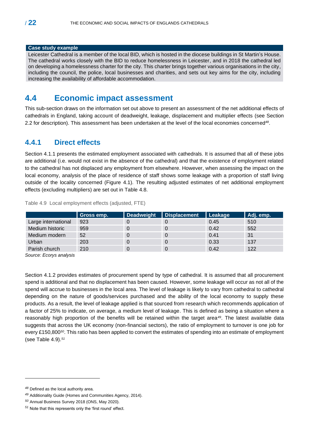#### **Case study example**

Leicester Cathedral is a member of the local BID, which is hosted in the diocese buildings in St Martin's House. The cathedral works closely with the BID to reduce homelessness in Leicester, and in 2018 the cathedral led on developing a homelessness charter for the city. This charter brings together various organisations in the city, including the council, the police, local businesses and charities, and sets out key aims for the city, including increasing the availability of affordable accommodation.

### <span id="page-21-0"></span>**4.4 Economic impact assessment**

This sub-section draws on the information set out above to present an assessment of the net additional effects of cathedrals in England, taking account of deadweight, leakage, displacement and multiplier effects (see Section 2.2 for description). This assessment has been undertaken at the level of the local economies concerned*<sup>48</sup>* .

### <span id="page-21-1"></span>**4.4.1 Direct effects**

Section 4.1.1 presents the estimated employment associated with cathedrals. It is assumed that all of these jobs are additional (i.e. would not exist in the absence of the cathedral) and that the existence of employment related to the cathedral has not displaced any employment from elsewhere. However, when assessing the impact on the local economy, analysis of the place of residence of staff shows some leakage with a proportion of staff living outside of the locality concerned (Figure 4.1). The resulting adjusted estimates of net additional employment effects (excluding multipliers) are set out in Table 4.8.

|                     | Gross emp. | <b>Deadweight</b> | Displacement | Leakage | Adj. emp. |
|---------------------|------------|-------------------|--------------|---------|-----------|
| Large international | 923        |                   |              | 0.45    | 510       |
| Medium historic     | 959        |                   |              | 0.42    | 552       |
| Medium modern       | 52         |                   |              | 0.41    | 31        |
| Urban               | 203        |                   |              | 0.33    | 137       |
| Parish church       | 210        |                   |              | 0.42    | 122       |

Table 4.9 Local employment effects (adjusted, FTE)

*Source: Ecorys analysis*

Section 4.1.2 provides estimates of procurement spend by type of cathedral. It is assumed that all procurement spend is additional and that no displacement has been caused. However, some leakage will occur as not all of the spend will accrue to businesses in the local area. The level of leakage is likely to vary from cathedral to cathedral depending on the nature of goods/services purchased and the ability of the local economy to supply these products. As a result, the level of leakage applied is that sourced from research which recommends application of a factor of 25% to indicate, on average, a medium level of leakage. This is defined as being a situation where a reasonably high proportion of the benefits will be retained within the target area*<sup>49</sup>* . The latest available data suggests that across the UK economy (non-financial sectors), the ratio of employment to turnover is one job for every £150,800*<sup>50</sup>* . This ratio has been applied to convert the estimates of spending into an estimate of employment (see Table 4.9). *51*

*<sup>48</sup>* Defined as the local authority area.

*<sup>49</sup>* Additionality Guide (Homes and Communities Agency, 2014).

*<sup>50</sup>* Annual Business Survey 2018 (ONS, May 2020).

*<sup>51</sup>* Note that this represents only the 'first round' effect.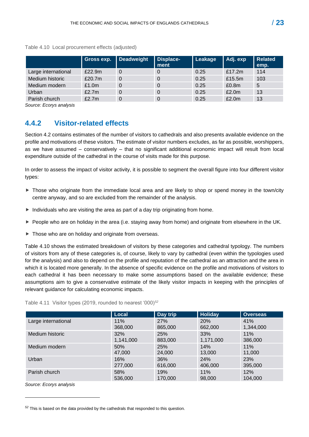|                     | Gross exp. | Deadweight | <b>Displace-</b><br>ment | Leakage | Adj. exp          | <b>Related</b><br>emp. |
|---------------------|------------|------------|--------------------------|---------|-------------------|------------------------|
| Large international | £22.9m     | 0          | 0                        | 0.25    | £17.2 $m$         | 114                    |
| Medium historic     | £20.7m     | 0          | 0                        | 0.25    | £15.5m            | 103                    |
| Medium modern       | £1.0m      | 0          | $\Omega$                 | 0.25    | £0.8 <sub>m</sub> | 5                      |
| Urban               | £2.7m      | 0          | 0                        | 0.25    | £2.0m             | 13                     |
| Parish church       | £2.7m      |            | $\Omega$                 | 0.25    | £2.0m             | 13                     |

Table 4.10 Local procurement effects (adjusted)

*Source: Ecorys analysis*

### <span id="page-22-0"></span>**4.4.2 Visitor-related effects**

Section 4.2 contains estimates of the number of visitors to cathedrals and also presents available evidence on the profile and motivations of these visitors. The estimate of visitor numbers excludes, as far as possible, worshippers, as we have assumed – conservatively – that no significant additional economic impact will result from local expenditure outside of the cathedral in the course of visits made for this purpose.

In order to assess the impact of visitor activity, it is possible to segment the overall figure into four different visitor types:

- $\triangleright$  Those who originate from the immediate local area and are likely to shop or spend money in the town/city centre anyway, and so are excluded from the remainder of the analysis.
- $\blacktriangleright$  Individuals who are visiting the area as part of a day trip originating from home.
- ▶ People who are on holiday in the area (i.e. staying away from home) and originate from elsewhere in the UK.
- ▶ Those who are on holiday and originate from overseas.

Table 4.10 shows the estimated breakdown of visitors by these categories and cathedral typology. The numbers of visitors from any of these categories is, of course, likely to vary by cathedral (even within the typologies used for the analysis) and also to depend on the profile and reputation of the cathedral as an attraction and the area in which it is located more generally. In the absence of specific evidence on the profile and motivations of visitors to each cathedral it has been necessary to make some assumptions based on the available evidence; these assumptions aim to give a conservative estimate of the likely visitor impacts in keeping with the principles of relevant guidance for calculating economic impacts.

Table 4.11 Visitor types (2019, rounded to nearest '000)*<sup>52</sup>*

|                     | <b>Local</b> | Day trip | <b>Holiday</b> | <b>Overseas</b> |
|---------------------|--------------|----------|----------------|-----------------|
| Large international | 11%          | 27%      | 20%            | 41%             |
|                     | 368,000      | 865,000  | 662,000        | 1,344,000       |
| Medium historic     | 32%          | 25%      | 33%            | 11%             |
|                     | 1,141,000    | 883,000  | 1,171,000      | 386,000         |
| Medium modern       | 50%          | 25%      | 14%            | 11%             |
|                     | 47,000       | 24,000   | 13,000         | 11,000          |
| Urban               | 16%          | 36%      | 24%            | 23%             |
|                     | 277,000      | 616,000  | 406,000        | 395,000         |
| Parish church       | 58%          | 19%      | 11%            | 12%             |
|                     | 536,000      | 170,000  | 98,000         | 104.000         |

*Source: Ecorys analysis*

*<sup>52</sup>* This is based on the data provided by the cathedrals that responded to this question.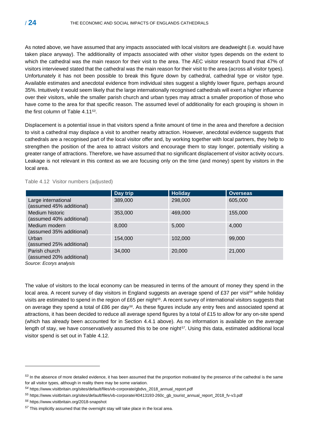As noted above, we have assumed that any impacts associated with local visitors are deadweight (i.e. would have taken place anyway). The additionality of impacts associated with other visitor types depends on the extent to which the cathedral was the main reason for their visit to the area. The AEC visitor research found that 47% of visitors interviewed stated that the cathedral was the main reason for their visit to the area (across all visitor types). Unfortunately it has not been possible to break this figure down by cathedral, cathedral type or visitor type. Available estimates and anecdotal evidence from individual sites suggest a slightly lower figure, perhaps around 35%. Intuitively it would seem likely that the large internationally recognised cathedrals will exert a higher influence over their visitors, while the smaller parish church and urban types may attract a smaller proportion of those who have come to the area for that specific reason. The assumed level of additionality for each grouping is shown in the first column of Table 4.11*<sup>53</sup>* .

Displacement is a potential issue in that visitors spend a finite amount of time in the area and therefore a decision to visit a cathedral may displace a visit to another nearby attraction. However, anecdotal evidence suggests that cathedrals are a recognised part of the local visitor offer and, by working together with local partners, they help to strengthen the position of the area to attract visitors and encourage them to stay longer, potentially visiting a greater range of attractions. Therefore, we have assumed that no significant displacement of visitor activity occurs. Leakage is not relevant in this context as we are focusing only on the time (and money) spent by visitors in the local area.

|  |  |  | Table 4.12 Visitor numbers (adjusted) |
|--|--|--|---------------------------------------|
|--|--|--|---------------------------------------|

|                                                 | Day trip | <b>Holiday</b> | <b>Overseas</b> |
|-------------------------------------------------|----------|----------------|-----------------|
| Large international<br>(assumed 45% additional) | 389,000  | 298,000        | 605,000         |
| Medium historic<br>(assumed 40% additional)     | 353,000  | 469,000        | 155,000         |
| Medium modern<br>(assumed 35% additional)       | 8,000    | 5,000          | 4,000           |
| Urban<br>(assumed 25% additional)               | 154,000  | 102,000        | 99,000          |
| Parish church<br>(assumed 20% additional)       | 34.000   | 20,000         | 21,000          |

*Source: Ecorys analysis*

The value of visitors to the local economy can be measured in terms of the amount of money they spend in the local area. A recent survey of day visitors in England suggests an average spend of £37 per visit*<sup>54</sup>* while holiday visits are estimated to spend in the region of £65 per night*<sup>55</sup>* . A recent survey of international visitors suggests that on average they spend a total of £86 per day*<sup>56</sup>* . As these figures include any entry fees and associated spend at attractions, it has been decided to reduce all average spend figures by a total of £15 to allow for any on-site spend (which has already been accounted for in Section 4.4.1 above). As no information is available on the average length of stay, we have conservatively assumed this to be one night*57*. Using this data, estimated additional local visitor spend is set out in Table 4.12.

*<sup>53</sup>* In the absence of more detailed evidence, it has been assumed that the proportion motivated by the presence of the cathedral is the same for all visitor types, although in reality there may be some variation.

*<sup>54</sup>* https://www.visitbritain.org/sites/default/files/vb-corporate/gbdvs\_2018\_annual\_report.pdf

*<sup>55</sup>* https://www.visitbritain.org/sites/default/files/vb-corporate/40413193-260c\_gb\_tourist\_annual\_report\_2018\_fv-v3.pdf

*<sup>56</sup>* https://www.visitbritain.org/2018-snapshot

*<sup>57</sup>* This implicitly assumed that the overnight stay will take place in the local area.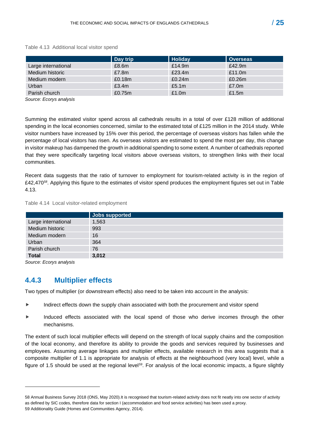|                     | Day trip | <b>Holiday</b> | <b>Overseas</b> |
|---------------------|----------|----------------|-----------------|
| Large international | £8.6m    | £14.9m         | £42.9m          |
| Medium historic     | £7.8m    | £23.4m         | £11.0 $m$       |
| Medium modern       | £0.18m   | £0.24m         | £0.26m          |
| Urban               | £3.4m    | £5.1 $m$       | £7.0m           |
| Parish church       | £0.75m   | £1.0m          | £1.5 $m$        |

#### Table 4.13 Additional local visitor spend

*Source: Ecorys analysis*

Summing the estimated visitor spend across all cathedrals results in a total of over £128 million of additional spending in the local economies concerned, similar to the estimated total of £125 million in the 2014 study. While visitor numbers have increased by 15% over this period, the percentage of overseas visitors has fallen while the percentage of local visitors has risen. As overseas visitors are estimated to spend the most per day, this change in visitor makeup has dampened the growth in additional spending to some extent. A number of cathedrals reported that they were specifically targeting local visitors above overseas visitors, to strengthen links with their local communities.

Recent data suggests that the ratio of turnover to employment for tourism-related activity is in the region of £42,470 *<sup>58</sup>*. Applying this figure to the estimates of visitor spend produces the employment figures set out in Table 4.13.

#### Table 4.14 Local visitor-related employment

|                     | Jobs supported |
|---------------------|----------------|
| Large international | 1,563          |
| Medium historic     | 993            |
| Medium modern       | 16             |
| Urban               | 364            |
| Parish church       | 76             |
| <b>Total</b>        | 3,012          |

*Source: Ecorys analysis*

### <span id="page-24-0"></span>**4.4.3 Multiplier effects**

Two types of multiplier (or downstream effects) also need to be taken into account in the analysis:

- Indirect effects down the supply chain associated with both the procurement and visitor spend
- Induced effects associated with the local spend of those who derive incomes through the other mechanisms.

The extent of such local multiplier effects will depend on the strength of local supply chains and the composition of the local economy, and therefore its ability to provide the goods and services required by businesses and employees. Assuming average linkages and multiplier effects, available research in this area suggests that a composite multiplier of 1.1 is appropriate for analysis of effects at the neighbourhood (very local) level, while a figure of 1.5 should be used at the regional level*<sup>59</sup>* . For analysis of the local economic impacts, a figure slightly

<sup>58</sup> Annual Business Survey 2018 (ONS, May 2020).It is recognised that tourism-related activity does not fit neatly into one sector of activity as defined by SIC codes, therefore data for section I (accommodation and food service activities) has been used a proxy. 59 Additionality Guide (Homes and Communities Agency, 2014).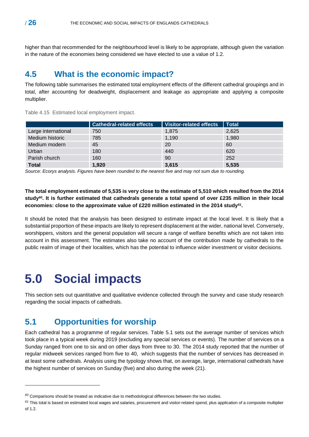higher than that recommended for the neighbourhood level is likely to be appropriate, although given the variation in the nature of the economies being considered we have elected to use a value of 1.2.

### <span id="page-25-0"></span>**4.5 What is the economic impact?**

The following table summarises the estimated total employment effects of the different cathedral groupings and in total, after accounting for deadweight, displacement and leakage as appropriate and applying a composite multiplier.

|                     | <b>Cathedral-related effects</b> | Visitor-related effects | <b>Total</b> |
|---------------------|----------------------------------|-------------------------|--------------|
| Large international | 750                              | 1,875                   | 2,625        |
| Medium historic     | 785                              | 1,190                   | 1,980        |
| Medium modern       | 45                               | 20                      | 60           |
| Urban               | 180                              | 440                     | 620          |
| Parish church       | 160                              | 90                      | 252          |
| <b>Total</b>        | 1,920                            | 3,615                   | 5,535        |

Table 4.15 Estimated local employment impact.

*Source: Ecorys analysis. Figures have been rounded to the nearest five and may not sum due to rounding.*

**The total employment estimate of 5,535 is very close to the estimate of 5,510 which resulted from the 2014 study***60***. It is further estimated that cathedrals generate a total spend of over £235 million in their local economies: close to the approximate value of £220 million estimated in the 2014 study***<sup>61</sup>* **.** 

It should be noted that the analysis has been designed to estimate impact at the local level. It is likely that a substantial proportion of these impacts are likely to represent displacement at the wider, national level. Conversely, worshippers, visitors and the general population will secure a range of welfare benefits which are not taken into account in this assessment. The estimates also take no account of the contribution made by cathedrals to the public realm of image of their localities, which has the potential to influence wider investment or visitor decisions.

# <span id="page-25-1"></span>**5.0 Social impacts**

This section sets out quantitative and qualitative evidence collected through the survey and case study research regarding the social impacts of cathedrals.

## <span id="page-25-2"></span>**5.1 Opportunities for worship**

Each cathedral has a programme of regular services. Table 5.1 sets out the average number of services which took place in a typical week during 2019 (excluding any special services or events). The number of services on a Sunday ranged from one to six and on other days from three to 30. The 2014 study reported that the number of regular midweek services ranged from five to 40, which suggests that the number of services has decreased in at least some cathedrals. Analysis using the typology shows that, on average, large, international cathedrals have the highest number of services on Sunday (five) and also during the week (21).

*<sup>60</sup>* Comparisons should be treated as indicative due to methodological differences between the two studies.

*<sup>61</sup>* This total is based on estimated local wages and salaries, procurement and visitor-related spend, plus application of a composite multiplier of 1.2.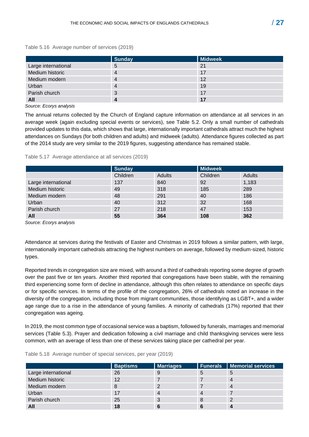Table 5.16 Average number of services (2019)

|                     | <b>Sunday</b> | Midweek |
|---------------------|---------------|---------|
| Large international | 5             | 21      |
| Medium historic     |               | 17      |
| Medium modern       | 4             | 12      |
| Urban               |               | 19      |
| Parish church       | 3             | 17      |
| All                 |               |         |

*Source: Ecorys analysis*

The annual returns collected by the Church of England capture information on attendance at all services in an average week (again excluding special events or services), see Table 5.2. Only a small number of cathedrals provided updates to this data, which shows that large, internationally important cathedrals attract much the highest attendances on Sundays (for both children and adults) and midweek (adults). Attendance figures collected as part of the 2014 study are very similar to the 2019 figures, suggesting attendance has remained stable.

Table 5.17 Average attendance at all services (2019)

|                     | <b>Sunday</b> |        | <b>Midweek</b> |        |
|---------------------|---------------|--------|----------------|--------|
|                     | Children      | Adults | Children       | Adults |
| Large international | 137           | 840    | 92             | 1,183  |
| Medium historic     | 49            | 318    | 185            | 289    |
| Medium modern       | 48            | 291    | 40             | 186    |
| Urban               | 40            | 312    | 32             | 168    |
| Parish church       | 27            | 218    | 47             | 153    |
| All                 | 55            | 364    | 108            | 362    |

*Source: Ecorys analysis*

Attendance at services during the festivals of Easter and Christmas in 2019 follows a similar pattern, with large, internationally important cathedrals attracting the highest numbers on average, followed by medium-sized, historic types.

Reported trends in congregation size are mixed, with around a third of cathedrals reporting some degree of growth over the past five or ten years. Another third reported that congregations have been stable, with the remaining third experiencing some form of decline in attendance, although this often relates to attendance on specific days or for specific services. In terms of the profile of the congregation, 26% of cathedrals noted an increase in the diversity of the congregation, including those from migrant communities, those identifying as LGBT+, and a wider age range due to a rise in the attendance of young families. A minority of cathedrals (17%) reported that their congregation was ageing.

In 2019, the most common type of occasional service was a baptism, followed by funerals, marriages and memorial services (Table 5.3). Prayer and dedication following a civil marriage and child thanksgiving services were less common, with an average of less than one of these services taking place per cathedral per year.

|                     | <b>Baptisms</b> | <b>Marriages</b> |   | <b>Funerals   Memorial services</b> |
|---------------------|-----------------|------------------|---|-------------------------------------|
| Large international | 26              | 9                |   | 5                                   |
| Medium historic     | 12              |                  |   | $\overline{4}$                      |
| Medium modern       | 8               | 2                |   | 4                                   |
| Urban               | 17              | 4                |   |                                     |
| Parish church       | 25              | 3                | 8 | າ                                   |
| All                 | 18              | 6                |   |                                     |

Table 5.18 Average number of special services, per year (2019)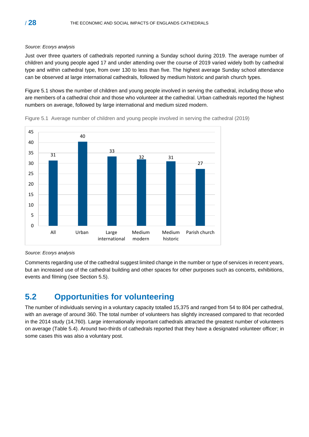#### *Source: Ecorys analysis*

Just over three quarters of cathedrals reported running a Sunday school during 2019. The average number of children and young people aged 17 and under attending over the course of 2019 varied widely both by cathedral type and within cathedral type, from over 130 to less than five. The highest average Sunday school attendance can be observed at large international cathedrals, followed by medium historic and parish church types.

Figure 5.1 shows the number of children and young people involved in serving the cathedral, including those who are members of a cathedral choir and those who volunteer at the cathedral. Urban cathedrals reported the highest numbers on average, followed by large international and medium sized modern.





Comments regarding use of the cathedral suggest limited change in the number or type of services in recent years, but an increased use of the cathedral building and other spaces for other purposes such as concerts, exhibitions, events and filming (see Section 5.5).

# <span id="page-27-0"></span>**5.2 Opportunities for volunteering**

The number of individuals serving in a voluntary capacity totalled 15,375 and ranged from 54 to 804 per cathedral, with an average of around 360. The total number of volunteers has slightly increased compared to that recorded in the 2014 study (14,760). Large internationally important cathedrals attracted the greatest number of volunteers on average (Table 5.4). Around two-thirds of cathedrals reported that they have a designated volunteer officer; in some cases this was also a voluntary post.

*Source: Ecorys analysis*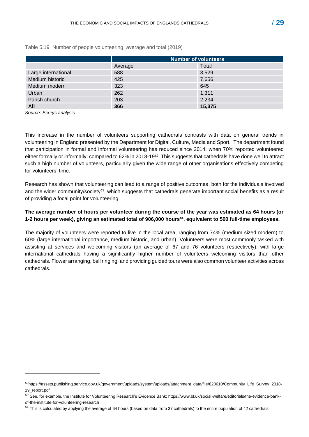|                     | <b>Number of volunteers</b> |        |  |  |
|---------------------|-----------------------------|--------|--|--|
|                     | Average                     | Total  |  |  |
| Large international | 588                         | 3,529  |  |  |
| Medium historic     | 425                         | 7,656  |  |  |
| Medium modern       | 323                         | 645    |  |  |
| Urban               | 262                         | 1,311  |  |  |
| Parish church       | 203                         | 2,234  |  |  |
| All                 | 366                         | 15,375 |  |  |

Table 5.19 Number of people volunteering, average and total (2019)

*Source: Ecorys analysis*

This increase in the number of volunteers supporting cathedrals contrasts with data on general trends in volunteering in England presented by the Department for Digital, Culture, Media and Sport. The department found that participation in formal and informal volunteering has reduced since 2014, when 70% reported volunteered either formally or informally, compared to 62% in 2018-19*<sup>62</sup>* . This suggests that cathedrals have done well to attract such a high number of volunteers, particularly given the wide range of other organisations effectively competing for volunteers' time.

Research has shown that volunteering can lead to a range of positive outcomes, both for the individuals involved and the wider community/society<sup>63</sup>, which suggests that cathedrals generate important social benefits as a result of providing a focal point for volunteering.

### **The average number of hours per volunteer during the course of the year was estimated as 64 hours (or 1-2 hours per week), giving an estimated total of 906,000 hours***64***, equivalent to 500 full-time employees.**

The majority of volunteers were reported to live in the local area, ranging from 74% (medium sized modern) to 60% (large international importance, medium historic, and urban). Volunteers were most commonly tasked with assisting at services and welcoming visitors (an average of 67 and 76 volunteers respectively), with large international cathedrals having a significantly higher number of volunteers welcoming visitors than other cathedrals. Flower arranging, bell ringing, and providing guided tours were also common volunteer activities across cathedrals.

*<sup>62</sup>*https://assets.publishing.service.gov.uk/government/uploads/system/uploads/attachment\_data/file/820610/Community\_Life\_Survey\_2018- 19\_report.pdf

*<sup>63</sup>* See, for example, the Institute for Volunteering Research's Evidence Bank: https://www.bl.uk/social-welfare/editorials/the-evidence-bankof-the-institute-for-volunteering-research

*<sup>64</sup>* This is calculated by applying the average of 64 hours (based on data from 37 cathedrals) to the entire population of 42 cathedrals.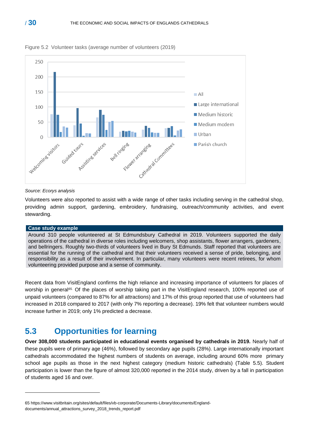



#### *Source: Ecorys analysis*

Volunteers were also reported to assist with a wide range of other tasks including serving in the cathedral shop, providing admin support, gardening, embroidery, fundraising, outreach/community activities, and event stewarding.

#### **Case study example**

Around 310 people volunteered at St Edmundsbury Cathedral in 2019. Volunteers supported the daily operations of the cathedral in diverse roles including welcomers, shop assistants, flower arrangers, gardeners, and bellringers. Roughly two-thirds of volunteers lived in Bury St Edmunds. Staff reported that volunteers are essential for the running of the cathedral and that their volunteers received a sense of pride, belonging, and responsibility as a result of their involvement. In particular, many volunteers were recent retirees, for whom volunteering provided purpose and a sense of community.

Recent data from VisitEngland confirms the high reliance and increasing importance of volunteers for places of worship in general*65.* Of the places of worship taking part in the VisitEngland research, 100% reported use of unpaid volunteers (compared to 87% for all attractions) and 17% of this group reported that use of volunteers had increased in 2018 compared to 2017 (with only 7% reporting a decrease). 19% felt that volunteer numbers would increase further in 2019; only 1% predicted a decrease.

### <span id="page-29-0"></span>**5.3 Opportunities for learning**

**Over 308,000 students participated in educational events organised by cathedrals in 2019.** Nearly half of these pupils were of primary age (46%), followed by secondary age pupils (28%). Large internationally important cathedrals accommodated the highest numbers of students on average, including around 60% more primary school age pupils as those in the next highest category (medium historic cathedrals) (Table 5.5). Student participation is lower than the figure of almost 320,000 reported in the 2014 study, driven by a fall in participation of students aged 16 and over.

<sup>65</sup> https://www.visitbritain.org/sites/default/files/vb-corporate/Documents-Library/documents/Englanddocuments/annual\_attractions\_survey\_2018\_trends\_report.pdf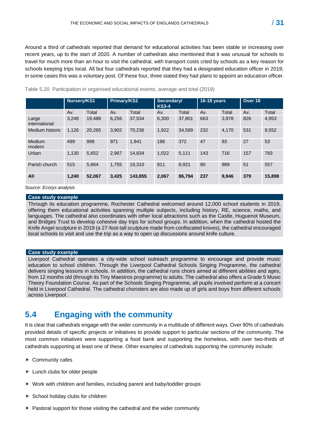Around a third of cathedrals reported that demand for educational activities has been stable or increasing over recent years, up to the start of 2020. A number of cathedrals also mentioned that it was unusual for schools to travel for much more than an hour to visit the cathedral, with transport costs cited by schools as a key reason for schools keeping trips local. All but four cathedrals reported that they had a designated education officer in 2019; in some cases this was a voluntary post. Of these four, three stated they had plans to appoint an education officer.

|                        | Nursery/KS1 |        | Primary/KS2 |         | Secondary/<br><b>KS3-4</b> |        | 16-18 years |       | Over 18 |        |
|------------------------|-------------|--------|-------------|---------|----------------------------|--------|-------------|-------|---------|--------|
|                        | Av.         | Total  | Av.         | Total   | Av.                        | Total  | Av.         | Total | Av.     | Total  |
| Large<br>international | 3,248       | 19.488 | 6,256       | 37,534  | 6.300                      | 37.801 | 663         | 3.978 | 826     | 4,953  |
| Medium historic        | 1,126       | 20,265 | 3.902       | 70.236  | 1,922                      | 34,589 | 232         | 4.170 | 531     | 9,552  |
| Medium<br>modern       | 499         | 998    | 971         | 1.941   | 186                        | 372    | 47          | 93    | 27      | 53     |
| Urban                  | 1.130       | 5,652  | 2.967       | 14.834  | 1,022                      | 5.111  | 143         | 716   | 157     | 783    |
| Parish church          | 515         | 5.664  | 1.755       | 19.310  | 811                        | 8.921  | 90          | 989   | 51      | 557    |
| All                    | 1,240       | 52,067 | 3,425       | 143,855 | 2,067                      | 86,794 | 237         | 9,946 | 379     | 15,898 |

Table 5.20 Participation in organised educational events, average and total (2019)

*Source: Ecorys analysis*

#### **Case study example**

Through its education programme, Rochester Cathedral welcomed around 12,000 school students in 2019, offering them educational activities spanning multiple subjects, including history, RE, science, maths, and languages. The cathedral also coordinates with other local attractions such as the Castle, Huguenot Museum, and Bridges Trust to develop cohesive day trips for school groups. In addition, when the cathedral hosted the Knife Angel sculpture in 2019 (a 27-foot-tall sculpture made from confiscated knives), the cathedral encouraged local schools to visit and use the trip as a way to open up discussions around knife culture.

#### **Case study example**

Liverpool Cathedral operates a city-wide school outreach programme to encourage and provide music education to school children. Through the Liverpool Cathedral Schools Singing Programme, the cathedral delivers singing lessons in schools. In addition, the cathedral runs choirs aimed at different abilities and ages, from 12 months old (through its Tiny Maestros programme) to adults. The cathedral also offers a Grade 5 Music Theory Foundation Course. As part of the Schools Singing Programme, all pupils involved perform at a concert held in Liverpool Cathedral. The cathedral choristers are also made up of girls and boys from different schools across Liverpool.

### <span id="page-30-0"></span>**5.4 Engaging with the community**

It is clear that cathedrals engage with the wider community in a multitude of different ways. Over 90% of cathedrals provided details of specific projects or initiatives to provide support to particular sections of the community. The most common initiatives were supporting a food bank and supporting the homeless, with over two-thirds of cathedrals supporting at least one of these. Other examples of cathedrals supporting the community include:

- ▶ Community cafes
- ► Lunch clubs for older people
- ▶ Work with children and families, including parent and baby/toddler groups
- $\triangleright$  School holiday clubs for children
- $\blacktriangleright$  Pastoral support for those visiting the cathedral and the wider community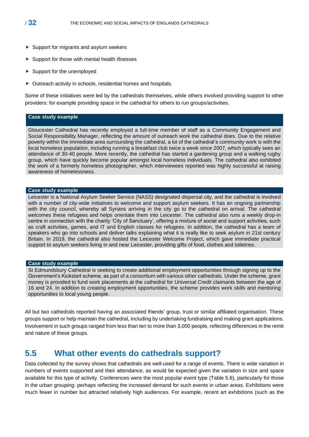- ▶ Support for migrants and asylum seekers
- $\blacktriangleright$  Support for those with mental health illnesses
- ▶ Support for the unemployed
- ▶ Outreach activity in schools, residential homes and hospitals.

Some of these initiatives were led by the cathedrals themselves, while others involved providing support to other providers: for example providing space in the cathedral for others to run groups/activities.

#### **Case study example**

Gloucester Cathedral has recently employed a full-time member of staff as a Community Engagement and Social Responsibility Manager, reflecting the amount of outreach work the cathedral does. Due to the relative poverty within the immediate area surrounding the cathedral, a lot of the cathedral's community work is with the local homeless population, including running a breakfast club twice a week since 2007, which typically sees an attendance of 30-40 people. More recently, the cathedral has started a gardening group and a walking rugby group, which have quickly become popular amongst local homeless individuals. The cathedral also exhibited the work of a formerly homeless photographer, which interviewees reported was highly successful at raising awareness of homelessness.

#### **Case study example**

Leicester is a National Asylum Seeker Service (NASS) designated dispersal city, and the cathedral is involved with a number of city-wide initiatives to welcome and support asylum seekers. It has an ongoing partnership with the city council, whereby all Syrians arriving in the city go to the cathedral on arrival. The cathedral welcomes these refugees and helps orientate them into Leicester. The cathedral also runs a weekly drop-in centre in connection with the charity 'City of Sanctuary', offering a mixture of social and support activities, such as craft activities, games, and IT and English classes for refugees. In addition, the cathedral has a team of speakers who go into schools and deliver talks explaining what it is really like to seek asylum in 21st century Britain. In 2019, the cathedral also hosted the Leicester Welcome Project, which gave immediate practical support to asylum seekers living in and near Leicester, providing gifts of food, clothes and toiletries.

#### **Case study example**

St Edmundsbury Cathedral is seeking to create additional employment opportunities through signing up to the Government's Kickstart scheme, as part of a consortium with various other cathedrals. Under the scheme, grant money is provided to fund work placements at the cathedral for Universal Credit claimants between the age of 16 and 24. In addition to creating employment opportunities, the scheme provides work skills and mentoring opportunities to local young people.

All but two cathedrals reported having an associated friends' group, trust or similar affiliated organisation. These groups support or help maintain the cathedral, including by undertaking fundraising and making grant applications. Involvement in such groups ranged from less than ten to more than 3,000 people, reflecting differences in the remit and nature of these groups.

### <span id="page-31-0"></span>**5.5 What other events do cathedrals support?**

Data collected by the survey shows that cathedrals are well-used for a range of events. There is wide variation in numbers of events supported and their attendance, as would be expected given the variation in size and space available for this type of activity. Conferences were the most popular event type (Table 5.6), particularly for those in the urban grouping: perhaps reflecting the increased demand for such events in urban areas. Exhibitions were much fewer in number but attracted relatively high audiences. For example, recent art exhibitions (such as the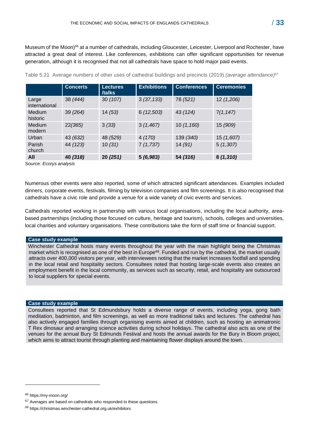Museum of the Moon)<sup>66</sup> at a number of cathedrals, including Gloucester, Leicester, Liverpool and Rochester, have attracted a great deal of interest. Like conferences, exhibitions can offer significant opportunities for revenue generation, although it is recognised that not all cathedrals have space to hold major paid events.

|                        | <b>Concerts</b> | <b>Lectures</b><br>/talks | <b>Exhibitions</b> | <b>Conferences</b> | <b>Ceremonies</b> |
|------------------------|-----------------|---------------------------|--------------------|--------------------|-------------------|
| Large<br>international | 38 (444)        | 30(107)                   | 3(37, 133)         | 78 (521)           | 12 (1,206)        |
| Medium<br>historic     | 39 (264)        | 14(53)                    | 6(12,503)          | 43 (124)           | 7(1, 147)         |
| Medium<br>modern       | 22(365)         | 3(33)                     | 3(1,467)           | 10(1,160)          | 15 (909)          |
| Urban                  | 43 (632)        | 48 (529)                  | 4(170)             | 139 (340)          | 15 (1,607)        |
| Parish<br>church       | 44 (123)        | 10(31)                    | 7(1,737)           | 14(91)             | 5(1,307)          |
| All                    | 40 (318)        | 20(251)                   | 5(6,983)           | 54 (316)           | 8(1,310)          |

Table 5.21 Average numbers of other uses of cathedral buildings and precincts (2019) *(average attendance)*<sup>67</sup>

*Source: Ecorys analysis*

Numerous other events were also reported, some of which attracted significant attendances. Examples included dinners, corporate events, festivals, filming by television companies and film screenings. It is also recognised that cathedrals have a civic role and provide a venue for a wide variety of civic events and services.

Cathedrals reported working in partnership with various local organisations, including the local authority, areabased partnerships (including those focused on culture, heritage and tourism), schools, colleges and universities, local charities and voluntary organisations. These contributions take the form of staff time or financial support.

#### **Case study example**

Winchester Cathedral hosts many events throughout the year with the main highlight being the Christmas market which is recognised as one of the best in Europe<sup>68</sup>. Funded and run by the cathedral, the market usually attracts over 400,000 visitors per year, with interviewees noting that the market increases footfall and spending in the local retail and hospitality sectors. Consultees noted that hosting large-scale events also creates an employment benefit in the local community, as services such as security, retail, and hospitality are outsourced to local suppliers for special events.

#### **Case study example**

Consultees reported that St Edmundsbury holds a diverse range of events, including yoga, gong bath meditation, badminton, and film screenings, as well as more traditional talks and lectures. The cathedral has also actively engaged families through organising events aimed at children, such as hosting an animatronic T Rex dinosaur and arranging science activities during school holidays. The cathedral also acts as one of the venues for the annual Bury St Edmunds Festival and hosts the annual awards for the Bury in Bloom project, which aims to attract tourist through planting and maintaining flower displays around the town.

*<sup>66</sup>* https://my-moon.org/

*<sup>67</sup>* Averages are based on cathedrals who responded to these questions.

*<sup>68</sup>* https://christmas.winchester-cathedral.org.uk/exhibitors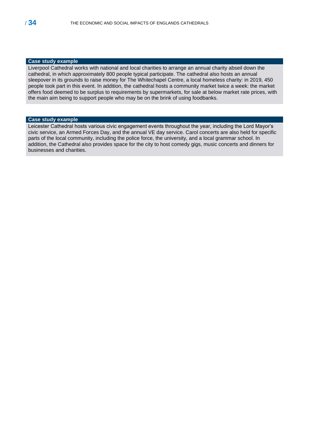#### **Case study example**

Liverpool Cathedral works with national and local charities to arrange an annual charity abseil down the cathedral, in which approximately 800 people typical participate. The cathedral also hosts an annual sleepover in its grounds to raise money for The Whitechapel Centre, a local homeless charity: in 2019, 450 people took part in this event. In addition, the cathedral hosts a community market twice a week: the market offers food deemed to be surplus to requirements by supermarkets, for sale at below market rate prices, with the main aim being to support people who may be on the brink of using foodbanks.

#### **Case study example**

Leicester Cathedral hosts various civic engagement events throughout the year, including the Lord Mayor's civic service, an Armed Forces Day, and the annual VE day service. Carol concerts are also held for specific parts of the local community, including the police force, the university, and a local grammar school. In addition, the Cathedral also provides space for the city to host comedy gigs, music concerts and dinners for businesses and charities.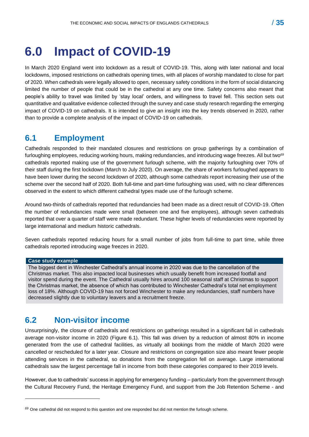# <span id="page-34-0"></span>**6.0 Impact of COVID-19**

In March 2020 England went into lockdown as a result of COVID-19. This, along with later national and local lockdowns, imposed restrictions on cathedrals opening times, with all places of worship mandated to close for part of 2020. When cathedrals were legally allowed to open, necessary safety conditions in the form of social distancing limited the number of people that could be in the cathedral at any one time. Safety concerns also meant that people's ability to travel was limited by 'stay local' orders, and willingness to travel fell. This section sets out quantitative and qualitative evidence collected through the survey and case study research regarding the emerging impact of COVID-19 on cathedrals. It is intended to give an insight into the key trends observed in 2020, rather than to provide a complete analysis of the impact of COVID-19 on cathedrals.

## <span id="page-34-1"></span>**6.1 Employment**

Cathedrals responded to their mandated closures and restrictions on group gatherings by a combination of furloughing employees, reducing working hours, making redundancies, and introducing wage freezes. All but two*<sup>69</sup>* cathedrals reported making use of the government furlough scheme, with the majority furloughing over 70% of their staff during the first lockdown (March to July 2020). On average, the share of workers furloughed appears to have been lower during the second lockdown of 2020, although some cathedrals report increasing their use of the scheme over the second half of 2020. Both full-time and part-time furloughing was used, with no clear differences observed in the extent to which different cathedral types made use of the furlough scheme.

Around two-thirds of cathedrals reported that redundancies had been made as a direct result of COVID-19. Often the number of redundancies made were small (between one and five employees), although seven cathedrals reported that over a quarter of staff were made redundant. These higher levels of redundancies were reported by large international and medium historic cathedrals.

Seven cathedrals reported reducing hours for a small number of jobs from full-time to part time, while three cathedrals reported introducing wage freezes in 2020.

#### **Case study example**

The biggest dent in Winchester Cathedral's annual income in 2020 was due to the cancellation of the Christmas market. This also impacted local businesses which usually benefit from increased footfall and visitor spend during the event. The Cathedral usually hires around 100 seasonal staff at Christmas to support the Christmas market, the absence of which has contributed to Winchester Cathedral's total net employment loss of 18%. Although COVID-19 has not forced Winchester to make any redundancies, staff numbers have decreased slightly due to voluntary leavers and a recruitment freeze.

## <span id="page-34-2"></span>**6.2 Non-visitor income**

Unsurprisingly, the closure of cathedrals and restrictions on gatherings resulted in a significant fall in cathedrals average non-visitor income in 2020 (Figure 6.1). This fall was driven by a reduction of almost 80% in income generated from the use of cathedral facilities, as virtually all bookings from the middle of March 2020 were cancelled or rescheduled for a later year. Closure and restrictions on congregation size also meant fewer people attending services in the cathedral, so donations from the congregation fell on average. Large international cathedrals saw the largest percentage fall in income from both these categories compared to their 2019 levels.

However, due to cathedrals' success in applying for emergency funding – particularly from the government through the Cultural Recovery Fund, the Heritage Emergency Fund, and support from the Job Retention Scheme - and

*<sup>69</sup>* One cathedral did not respond to this question and one responded but did not mention the furlough scheme.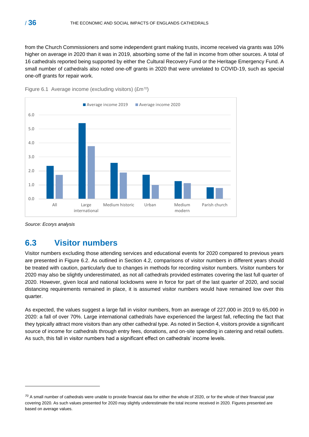from the Church Commissioners and some independent grant making trusts, income received via grants was 10% higher on average in 2020 than it was in 2019, absorbing some of the fall in income from other sources. A total of 16 cathedrals reported being supported by either the Cultural Recovery Fund or the Heritage Emergency Fund. A small number of cathedrals also noted one-off grants in 2020 that were unrelated to COVID-19, such as special one-off grants for repair work.





*Source: Ecorys analysis*

# <span id="page-35-0"></span>**6.3 Visitor numbers**

Visitor numbers excluding those attending services and educational events for 2020 compared to previous years are presented in Figure 6.2. As outlined in Section 4.2, comparisons of visitor numbers in different years should be treated with caution, particularly due to changes in methods for recording visitor numbers. Visitor numbers for 2020 may also be slightly underestimated, as not all cathedrals provided estimates covering the last full quarter of 2020. However, given local and national lockdowns were in force for part of the last quarter of 2020, and social distancing requirements remained in place, it is assumed visitor numbers would have remained low over this quarter.

As expected, the values suggest a large fall in visitor numbers, from an average of 227,000 in 2019 to 65,000 in 2020: a fall of over 70%. Large international cathedrals have experienced the largest fall, reflecting the fact that they typically attract more visitors than any other cathedral type. As noted in Section 4, visitors provide a significant source of income for cathedrals through entry fees, donations, and on-site spending in catering and retail outlets. As such, this fall in visitor numbers had a significant effect on cathedrals' income levels.

*<sup>70</sup>* A small number of cathedrals were unable to provide financial data for either the whole of 2020, or for the whole of their financial year covering 2020. As such values presented for 2020 may slightly underestimate the total income received in 2020. Figures presented are based on average values.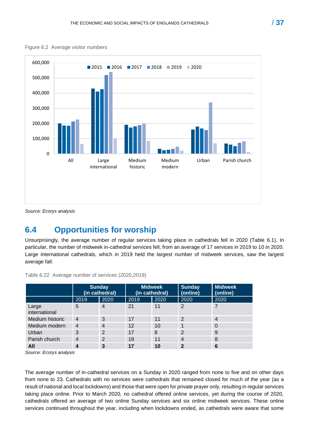



*Source: Ecorys analysis*

## <span id="page-36-0"></span>**6.4 Opportunities for worship**

Unsurprisingly, the average number of regular services taking place in cathedrals fell in 2020 (Table 6.1). In particular, the number of midweek in-cathedral services fell, from an average of 17 services in 2019 to 10 in 2020. Large international cathedrals, which in 2019 held the largest number of midweek services, saw the largest average fall.

|                        | <b>Sunday</b><br>(in cathedral) |                | <b>Midweek</b><br>(in cathedral) |      | <b>Sunday</b><br>(online) | <b>Midweek</b><br>(online) |
|------------------------|---------------------------------|----------------|----------------------------------|------|---------------------------|----------------------------|
|                        | 2019                            | 2020           | 2019                             | 2020 | 2020                      | 2020                       |
| Large<br>international | 5                               | $\overline{4}$ | 21                               | 11   | 2                         |                            |
| Medium historic        | $\overline{4}$                  | 3              | 17                               | 11   | 2                         | 4                          |
| Medium modern          | 4                               | $\overline{4}$ | 12                               | 10   |                           | 0                          |
| Urban                  | 3                               | $\overline{2}$ | 17                               | 8    | 2                         | 9                          |
| Parish church          | $\overline{4}$                  | $\overline{2}$ | 19                               | 11   | $\overline{4}$            | 8                          |
| All                    | $\boldsymbol{4}$                | 3              | 17                               | 10   | $\overline{2}$            | 6                          |

Table 6.22 Average number of services (2020,2019)

*Source: Ecorys analysis*

The average number of in-cathedral services on a Sunday in 2020 ranged from none to five and on other days from none to 23. Cathedrals with no services were cathedrals that remained closed for much of the year (as a result of national and local lockdowns) and those that were open for private prayer only, resulting in regular services taking place online. Prior to March 2020, no cathedral offered online services, yet during the course of 2020, cathedrals offered an average of two online Sunday services and six online midweek services. These online services continued throughout the year, including when lockdowns ended, as cathedrals were aware that some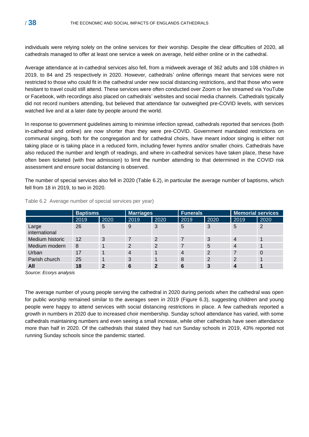individuals were relying solely on the online services for their worship. Despite the clear difficulties of 2020, all cathedrals managed to offer at least one service a week on average, held either online or in the cathedral.

Average attendance at in-cathedral services also fell, from a midweek average of 362 adults and 108 children in 2019, to 84 and 25 respectively in 2020. However, cathedrals' online offerings meant that services were not restricted to those who could fit in the cathedral under new social distancing restrictions, and that those who were hesitant to travel could still attend. These services were often conducted over Zoom or live streamed via YouTube or Facebook, with recordings also placed on cathedrals' websites and social media channels. Cathedrals typically did not record numbers attending, but believed that attendance far outweighed pre-COVID levels, with services watched live and at a later date by people around the world.

In response to government guidelines aiming to minimise infection spread, cathedrals reported that services (both in-cathedral and online) are now shorter than they were pre-COVID. Government mandated restrictions on communal singing, both for the congregation and for cathedral choirs, have meant indoor singing is either not taking place or is taking place in a reduced form, including fewer hymns and/or smaller choirs. Cathedrals have also reduced the number and length of readings, and where in-cathedral services have taken place, these have often been ticketed (with free admission) to limit the number attending to that determined in the COVID risk assessment and ensure social distancing is observed.

The number of special services also fell in 2020 (Table 6.2), in particular the average number of baptisms, which fell from 18 in 2019, to two in 2020.

|                        |      | <b>Baptisms</b> |      | <b>Marriages</b> |      | <b>Funerals</b> |                | <b>Memorial services</b> |  |
|------------------------|------|-----------------|------|------------------|------|-----------------|----------------|--------------------------|--|
|                        | 2019 | 2020            | 2019 | 2020             | 2019 | 2020            | 2019           | 2020                     |  |
| Large<br>international | 26   | 5               | 9    | 3                | 5    | 3               | 5              | 2                        |  |
| Medium historic        | 12   | 3               | 7    | 2                |      | 3               | $\overline{4}$ |                          |  |
| Medium modern          | 8    |                 | 2    | 2                |      | 5               | $\overline{4}$ |                          |  |
| Urban                  | 17   |                 | 4    |                  | 4    | 2               |                | 0                        |  |
| Parish church          | 25   | 1               | 3    |                  | 8    | 2               | 2              |                          |  |
| All                    | 18   | 2               | 6    | C                | 6    |                 |                |                          |  |

Table 6.2 Average number of special services per year)

*Source: Ecorys analysis*

The average number of young people serving the cathedral in 2020 during periods when the cathedral was open for public worship remained similar to the averages seen in 2019 (Figure 6.3), suggesting children and young people were happy to attend services with social distancing restrictions in place. A few cathedrals reported a growth in numbers in 2020 due to increased choir membership. Sunday school attendance has varied, with some cathedrals maintaining numbers and even seeing a small increase, while other cathedrals have seen attendance more than half in 2020. Of the cathedrals that stated they had run Sunday schools in 2019, 43% reported not running Sunday schools since the pandemic started.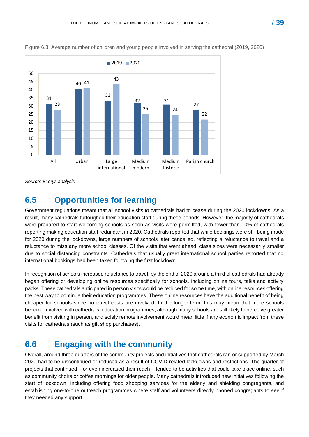

Figure 6.3 Average number of children and young people involved in serving the cathedral (2019, 2020)

*Source: Ecorys analysis*

## <span id="page-38-0"></span>**6.5 Opportunities for learning**

Government regulations meant that all school visits to cathedrals had to cease during the 2020 lockdowns. As a result, many cathedrals furloughed their education staff during these periods. However, the majority of cathedrals were prepared to start welcoming schools as soon as visits were permitted, with fewer than 10% of cathedrals reporting making education staff redundant in 2020. Cathedrals reported that while bookings were still being made for 2020 during the lockdowns, large numbers of schools later cancelled, reflecting a reluctance to travel and a reluctance to miss any more school classes. Of the visits that went ahead, class sizes were necessarily smaller due to social distancing constraints. Cathedrals that usually greet international school parties reported that no international bookings had been taken following the first lockdown.

In recognition of schools increased reluctance to travel, by the end of 2020 around a third of cathedrals had already began offering or developing online resources specifically for schools, including online tours, talks and activity packs. These cathedrals anticipated in person visits would be reduced for some time, with online resources offering the best way to continue their education programmes. These online resources have the additional benefit of being cheaper for schools since no travel costs are involved. In the longer-term, this may mean that more schools become involved with cathedrals' education programmes, although many schools are still likely to perceive greater benefit from visiting in person, and solely remote involvement would mean little if any economic impact from these visits for cathedrals (such as gift shop purchases).

# <span id="page-38-1"></span>**6.6 Engaging with the community**

Overall, around three quarters of the community projects and initiatives that cathedrals ran or supported by March 2020 had to be discontinued or reduced as a result of COVID-related lockdowns and restrictions. The quarter of projects that continued – or even increased their reach – tended to be activities that could take place online, such as community choirs or coffee mornings for older people. Many cathedrals introduced new initiatives following the start of lockdown, including offering food shopping services for the elderly and shielding congregants, and establishing one-to-one outreach programmes where staff and volunteers directly phoned congregants to see if they needed any support.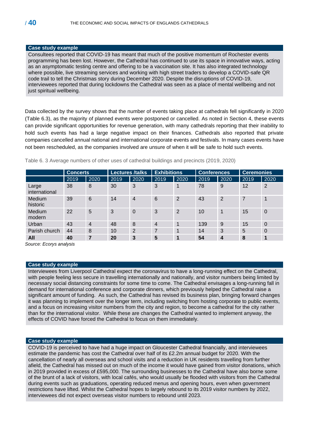#### **Case study example**

Consultees reported that COVID-19 has meant that much of the positive momentum of Rochester events programming has been lost. However, the Cathedral has continued to use its space in innovative ways, acting as an asymptomatic testing centre and offering to be a vaccination site. It has also integrated technology where possible, live streaming services and working with high street traders to develop a COVID-safe QR code trail to tell the Christmas story during December 2020. Despite the disruptions of COVID-19, interviewees reported that during lockdowns the Cathedral was seen as a place of mental wellbeing and not just spiritual wellbeing.

Data collected by the survey shows that the number of events taking place at cathedrals fell significantly in 2020 (Table 6.3), as the majority of planned events were postponed or cancelled. As noted in Section 4, these events can provide significant opportunities for revenue generation, with many cathedrals reporting that their inability to hold such events has had a large negative impact on their finances. Cathedrals also reported that private companies cancelled annual national and international corporate events and festivals. In many cases events have not been rescheduled, as the companies involved are unsure of when it will be safe to hold such events.

|                        | <b>Concerts</b> |                | <b>Lectures /talks</b> |          | <b>Exhibitions</b> |                | <b>Conferences</b> |      | <b>Ceremonies</b> |                |
|------------------------|-----------------|----------------|------------------------|----------|--------------------|----------------|--------------------|------|-------------------|----------------|
|                        | 2019            | 2020           | 2019                   | 2020     | 2019               | 2020           | 2019               | 2020 | 2019              | 2020           |
| Large<br>international | 38              | 8              | 30                     | 3        | 3                  | 1              | 78                 | 9    | 12                | 2              |
| Medium<br>historic     | 39              | 6              | 14                     | 4        | 6                  | $\overline{2}$ | 43                 | 2    | 7                 |                |
| Medium<br>modern       | 22              | 5              | 3                      | $\Omega$ | 3                  | $\overline{2}$ | 10                 |      | 15                | $\mathbf 0$    |
| Urban                  | 43              | $\overline{4}$ | 48                     | 8        | $\overline{4}$     | $\mathbf 1$    | 139                | 9    | 15                | $\overline{0}$ |
| Parish church          | 44              | 8              | 10                     | 2        | 7                  | 1              | 14                 | 3    | 5                 | $\mathbf 0$    |
| All                    | 40              | 7              | 20                     | 3        | 5                  | 1              | 54                 | 4    | 8                 | 1              |

Table 6. 3 Average numbers of other uses of cathedral buildings and precincts (2019, 2020)

*Source: Ecorys analysis*

#### **Case study example**

Interviewees from Liverpool Cathedral expect the coronavirus to have a long-running effect on the Cathedral, with people feeling less secure in travelling internationally and nationally, and visitor numbers being limited by necessary social distancing constraints for some time to come. The Cathedral envisages a long-running fall in demand for international conference and corporate dinners, which previously helped the Cathedral raise a significant amount of funding. As such, the Cathedral has revised its business plan, bringing forward changes it was planning to implement over the longer term, including switching from hosting corporate to public events, and a focus on increasing visitor numbers from the city and region, to become a cathedral for the city rather than for the international visitor. While these are changes the Cathedral wanted to implement anyway, the effects of COVID have forced the Cathedral to focus on them immediately.

#### **Case study example**

COVID-19 is perceived to have had a huge impact on Gloucester Cathedral financially, and interviewees estimate the pandemic has cost the Cathedral over half of its £2.2m annual budget for 2020. With the cancellation of nearly all overseas and school visits and a reduction in UK residents travelling from further afield, the Cathedral has missed out on much of the income it would have gained from visitor donations, which in 2019 provided in excess of £595,000. The surrounding businesses to the Cathedral have also borne some of the brunt of a lack of visitors, with local cafés, who would usually be flooded with visitors from the Cathedral during events such as graduations, operating reduced menus and opening hours, even when government restrictions have lifted. Whilst the Cathedral hopes to largely rebound to its 2019 visitor numbers by 2022, interviewees did not expect overseas visitor numbers to rebound until 2023.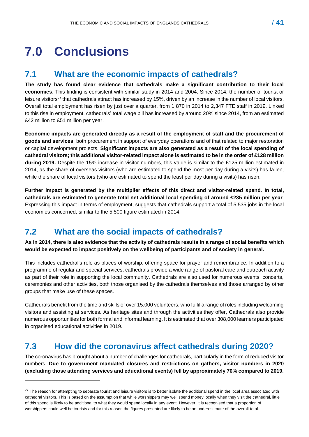# <span id="page-40-0"></span>**7.0 Conclusions**

# <span id="page-40-1"></span>**7.1 What are the economic impacts of cathedrals?**

**The study has found clear evidence that cathedrals make a significant contribution to their local economies**. This finding is consistent with similar study in 2014 and 2004. Since 2014, the number of tourist or leisure visitors*<sup>71</sup>* that cathedrals attract has increased by 15%, driven by an increase in the number of local visitors. Overall total employment has risen by just over a quarter, from 1,870 in 2014 to 2,347 FTE staff in 2019. Linked to this rise in employment, cathedrals' total wage bill has increased by around 20% since 2014, from an estimated £42 million to £51 million per year.

**Economic impacts are generated directly as a result of the employment of staff and the procurement of goods and services**, both procurement in support of everyday operations and of that related to major restoration or capital development projects. **Significant impacts are also generated as a result of the local spending of cathedral visitors; this additional visitor-related impact alone is estimated to be in the order of £128 million during 2019.** Despite the 15% increase in visitor numbers, this value is similar to the £125 million estimated in 2014, as the share of overseas visitors (who are estimated to spend the most per day during a visits) has fallen, while the share of local visitors (who are estimated to spend the least per day during a visits) has risen.

**Further impact is generated by the multiplier effects of this direct and visitor-related spend**. **In total, cathedrals are estimated to generate total net additional local spending of around £235 million per year**. Expressing this impact in terms of employment, suggests that cathedrals support a total of 5,535 jobs in the local economies concerned, similar to the 5,500 figure estimated in 2014.

# <span id="page-40-2"></span>**7.2 What are the social impacts of cathedrals?**

**As in 2014, there is also evidence that the activity of cathedrals results in a range of social benefits which would be expected to impact positively on the wellbeing of participants and of society in general.** 

This includes cathedral's role as places of worship, offering space for prayer and remembrance. In addition to a programme of regular and special services, cathedrals provide a wide range of pastoral care and outreach activity as part of their role in supporting the local community. Cathedrals are also used for numerous events, concerts, ceremonies and other activities, both those organised by the cathedrals themselves and those arranged by other groups that make use of these spaces.

Cathedrals benefit from the time and skills of over 15,000 volunteers, who fulfil a range of roles including welcoming visitors and assisting at services. As heritage sites and through the activities they offer, Cathedrals also provide numerous opportunities for both formal and informal learning. It is estimated that over 308,000 learners participated in organised educational activities in 2019.

# <span id="page-40-3"></span>**7.3 How did the coronavirus affect cathedrals during 2020?**

The coronavirus has brought about a number of challenges for cathedrals, particularly in the form of reduced visitor numbers. **Due to government mandated closures and restrictions on gathers, visitor numbers in 2020 (excluding those attending services and educational events) fell by approximately 70% compared to 2019.**

*<sup>71</sup>* The reason for attempting to separate tourist and leisure visitors is to better isolate the additional spend in the local area associated with cathedral visitors. This is based on the assumption that while worshippers may well spend money locally when they visit the cathedral, little of this spend is likely to be additional to what they would spend locally in any event. However, it is recognised that a proportion of worshippers could well be tourists and for this reason the figures presented are likely to be an underestimate of the overall total.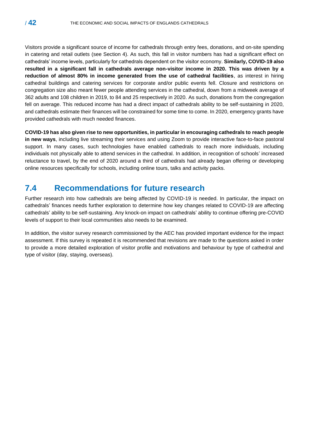Visitors provide a significant source of income for cathedrals through entry fees, donations, and on-site spending in catering and retail outlets (see Section 4). As such, this fall in visitor numbers has had a significant effect on cathedrals' income levels, particularly for cathedrals dependent on the visitor economy. **Similarly, COVID-19 also resulted in a significant fall in cathedrals average non-visitor income in 2020. This was driven by a reduction of almost 80% in income generated from the use of cathedral facilities**, as interest in hiring cathedral buildings and catering services for corporate and/or public events fell. Closure and restrictions on congregation size also meant fewer people attending services in the cathedral, down from a midweek average of 362 adults and 108 children in 2019, to 84 and 25 respectively in 2020. As such, donations from the congregation fell on average. This reduced income has had a direct impact of cathedrals ability to be self-sustaining in 2020, and cathedrals estimate their finances will be constrained for some time to come. In 2020, emergency grants have provided cathedrals with much needed finances.

**COVID-19 has also given rise to new opportunities, in particular in encouraging cathedrals to reach people in new ways**, including live streaming their services and using Zoom to provide interactive face-to-face pastoral support. In many cases, such technologies have enabled cathedrals to reach more individuals, including individuals not physically able to attend services in the cathedral. In addition, in recognition of schools' increased reluctance to travel, by the end of 2020 around a third of cathedrals had already began offering or developing online resources specifically for schools, including online tours, talks and activity packs.

### <span id="page-41-0"></span>**7.4 Recommendations for future research**

Further research into how cathedrals are being affected by COVID-19 is needed. In particular, the impact on cathedrals' finances needs further exploration to determine how key changes related to COVID-19 are affecting cathedrals' ability to be self-sustaining. Any knock-on impact on cathedrals' ability to continue offering pre-COVID levels of support to their local communities also needs to be examined.

In addition, the visitor survey research commissioned by the AEC has provided important evidence for the impact assessment. If this survey is repeated it is recommended that revisions are made to the questions asked in order to provide a more detailed exploration of visitor profile and motivations and behaviour by type of cathedral and type of visitor (day, staying, overseas).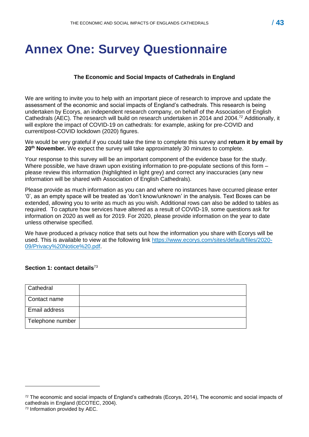# <span id="page-42-0"></span>**Annex One: Survey Questionnaire**

### **The Economic and Social Impacts of Cathedrals in England**

We are writing to invite you to help with an important piece of research to improve and update the assessment of the economic and social impacts of England's cathedrals. This research is being undertaken by Ecorys, an independent research company, on behalf of the Association of English Cathedrals (AEC). The research will build on research undertaken in 2014 and 2004.<sup>72</sup> Additionally, it will explore the impact of COVID-19 on cathedrals: for example, asking for pre-COVID and current/post-COVID lockdown (2020) figures.

We would be very grateful if you could take the time to complete this survey and **return it by email by 20th November.** We expect the survey will take approximately 30 minutes to complete.

Your response to this survey will be an important component of the evidence base for the study. Where possible, we have drawn upon existing information to pre-populate sections of this form – please review this information (highlighted in light grey) and correct any inaccuracies (any new information will be shared with Association of English Cathedrals).

Please provide as much information as you can and where no instances have occurred please enter '0', as an empty space will be treated as 'don't know/unknown' in the analysis. Text Boxes can be extended, allowing you to write as much as you wish. Additional rows can also be added to tables as required. To capture how services have altered as a result of COVID-19, some questions ask for information on 2020 as well as for 2019. For 2020, please provide information on the year to date unless otherwise specified.

We have produced a privacy notice that sets out how the information you share with Ecorys will be used. This is available to view at the following link [https://www.ecorys.com/sites/default/files/2020-](https://www.ecorys.com/sites/default/files/2020-09/Privacy%20Notice%20.pdf) [09/Privacy%20Notice%20.pdf.](https://www.ecorys.com/sites/default/files/2020-09/Privacy%20Notice%20.pdf)

### **Section 1: contact details**<sup>73</sup>

| Cathedral        |  |
|------------------|--|
| Contact name     |  |
| Email address    |  |
| Telephone number |  |

*<sup>72</sup>* The economic and social impacts of England's cathedrals (Ecorys, 2014), The economic and social impacts of cathedrals in England (ECOTEC, 2004).

*<sup>73</sup>* Information provided by AEC.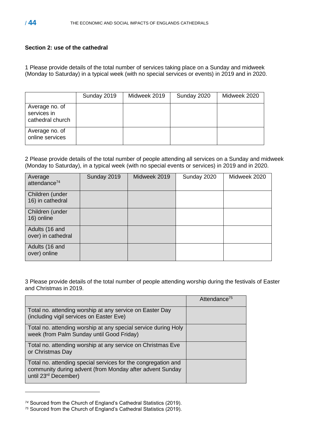### **Section 2: use of the cathedral**

1 Please provide details of the total number of services taking place on a Sunday and midweek (Monday to Saturday) in a typical week (with no special services or events) in 2019 and in 2020.

|                                                   | Sunday 2019 | Midweek 2019 | Sunday 2020 | Midweek 2020 |
|---------------------------------------------------|-------------|--------------|-------------|--------------|
| Average no. of<br>services in<br>cathedral church |             |              |             |              |
| Average no. of<br>online services                 |             |              |             |              |

2 Please provide details of the total number of people attending all services on a Sunday and midweek (Monday to Saturday), in a typical week (with no special events or services) in 2019 and in 2020.

| Average<br>attendance <sup>74</sup>  | Sunday 2019 | Midweek 2019 | Sunday 2020 | Midweek 2020 |
|--------------------------------------|-------------|--------------|-------------|--------------|
| Children (under<br>16) in cathedral  |             |              |             |              |
| Children (under<br>16) online        |             |              |             |              |
| Adults (16 and<br>over) in cathedral |             |              |             |              |
| Adults (16 and<br>over) online       |             |              |             |              |

3 Please provide details of the total number of people attending worship during the festivals of Easter and Christmas in 2019.

|                                                                                                                                                               | Attendance <sup>75</sup> |
|---------------------------------------------------------------------------------------------------------------------------------------------------------------|--------------------------|
| Total no. attending worship at any service on Easter Day<br>(including vigil services on Easter Eve)                                                          |                          |
| Total no. attending worship at any special service during Holy<br>week (from Palm Sunday until Good Friday)                                                   |                          |
| Total no. attending worship at any service on Christmas Eve<br>or Christmas Day                                                                               |                          |
| Total no. attending special services for the congregation and<br>community during advent (from Monday after advent Sunday<br>until 23 <sup>rd</sup> December) |                          |

*<sup>74</sup>* Sourced from the Church of England's Cathedral Statistics (2019).

*<sup>75</sup>* Sourced from the Church of England's Cathedral Statistics (2019).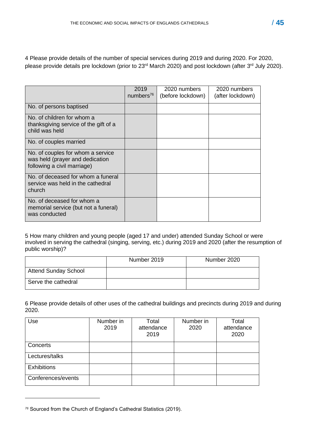4 Please provide details of the number of special services during 2019 and during 2020. For 2020, please provide details pre lockdown (prior to 23<sup>rd</sup> March 2020) and post lockdown (after 3<sup>rd</sup> July 2020).

|                                                                                                     | 2019<br>numbers $^{76}$ | 2020 numbers<br>(before lockdown) | 2020 numbers<br>(after lockdown) |
|-----------------------------------------------------------------------------------------------------|-------------------------|-----------------------------------|----------------------------------|
| No. of persons baptised                                                                             |                         |                                   |                                  |
| No. of children for whom a<br>thanksgiving service of the gift of a<br>child was held               |                         |                                   |                                  |
| No. of couples married                                                                              |                         |                                   |                                  |
| No. of couples for whom a service<br>was held (prayer and dedication<br>following a civil marriage) |                         |                                   |                                  |
| No. of deceased for whom a funeral<br>service was held in the cathedral<br>church                   |                         |                                   |                                  |
| No. of deceased for whom a<br>memorial service (but not a funeral)<br>was conducted                 |                         |                                   |                                  |

5 How many children and young people (aged 17 and under) attended Sunday School or were involved in serving the cathedral (singing, serving, etc.) during 2019 and 2020 (after the resumption of public worship)?

|                             | Number 2019 | Number 2020 |
|-----------------------------|-------------|-------------|
| <b>Attend Sunday School</b> |             |             |
| Serve the cathedral         |             |             |

6 Please provide details of other uses of the cathedral buildings and precincts during 2019 and during 2020.

| Use                | Number in<br>2019 | Total<br>attendance<br>2019 | Number in<br>2020 | Total<br>attendance<br>2020 |
|--------------------|-------------------|-----------------------------|-------------------|-----------------------------|
| Concerts           |                   |                             |                   |                             |
| Lectures/talks     |                   |                             |                   |                             |
| <b>Exhibitions</b> |                   |                             |                   |                             |
| Conferences/events |                   |                             |                   |                             |

*<sup>76</sup>* Sourced from the Church of England's Cathedral Statistics (2019).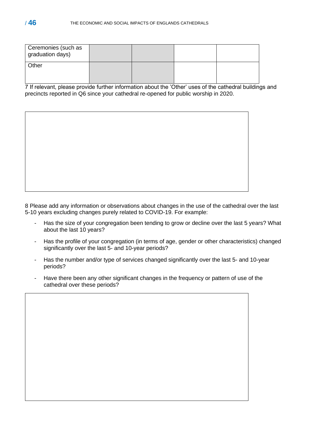| Ceremonies (such as<br>graduation days) |  |  |
|-----------------------------------------|--|--|
| Other                                   |  |  |

7 If relevant, please provide further information about the 'Other' uses of the cathedral buildings and precincts reported in Q6 since your cathedral re-opened for public worship in 2020.

8 Please add any information or observations about changes in the use of the cathedral over the last 5-10 years excluding changes purely related to COVID-19. For example:

- Has the size of your congregation been tending to grow or decline over the last 5 years? What about the last 10 years?
- Has the profile of your congregation (in terms of age, gender or other characteristics) changed significantly over the last 5- and 10-year periods?
- Has the number and/or type of services changed significantly over the last 5- and 10-year periods?
- Have there been any other significant changes in the frequency or pattern of use of the cathedral over these periods?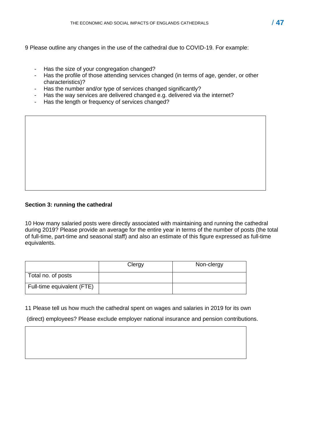9 Please outline any changes in the use of the cathedral due to COVID-19. For example:

- Has the size of your congregation changed?
- Has the profile of those attending services changed (in terms of age, gender, or other characteristics)?
- Has the number and/or type of services changed significantly?
- Has the way services are delivered changed e.g. delivered via the internet?
- Has the length or frequency of services changed?

### **Section 3: running the cathedral**

10 How many salaried posts were directly associated with maintaining and running the cathedral during 2019? Please provide an average for the entire year in terms of the number of posts (the total of full-time, part-time and seasonal staff) and also an estimate of this figure expressed as full-time equivalents.

|                            | Clergy | Non-clergy |
|----------------------------|--------|------------|
| Total no. of posts         |        |            |
| Full-time equivalent (FTE) |        |            |

11 Please tell us how much the cathedral spent on wages and salaries in 2019 for its own

(direct) employees? Please exclude employer national insurance and pension contributions.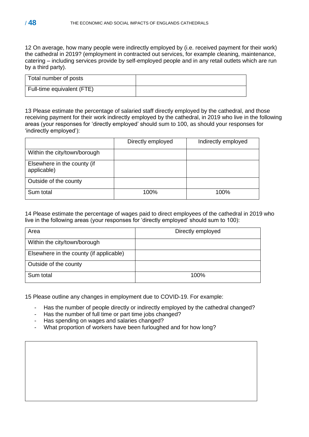12 On average, how many people were indirectly employed by (i.e. received payment for their work) the cathedral in 2019? (employment in contracted out services, for example cleaning, maintenance, catering – including services provide by self-employed people and in any retail outlets which are run by a third party).

| Total number of posts      |  |
|----------------------------|--|
| Full-time equivalent (FTE) |  |

13 Please estimate the percentage of salaried staff directly employed by the cathedral, and those receiving payment for their work indirectly employed by the cathedral, in 2019 who live in the following areas (your responses for 'directly employed' should sum to 100, as should your responses for 'indirectly employed'):

|                                            | Directly employed | Indirectly employed |
|--------------------------------------------|-------------------|---------------------|
| Within the city/town/borough               |                   |                     |
| Elsewhere in the county (if<br>applicable) |                   |                     |
| Outside of the county                      |                   |                     |
| Sum total                                  | 100%              | 100%                |

14 Please estimate the percentage of wages paid to direct employees of the cathedral in 2019 who live in the following areas (your responses for 'directly employed' should sum to 100):

| Area                                    | Directly employed |
|-----------------------------------------|-------------------|
| Within the city/town/borough            |                   |
| Elsewhere in the county (if applicable) |                   |
| Outside of the county                   |                   |
| Sum total                               | 100%              |

15 Please outline any changes in employment due to COVID-19. For example:

- Has the number of people directly or indirectly employed by the cathedral changed?
- Has the number of full time or part time jobs changed?
- Has spending on wages and salaries changed?
- What proportion of workers have been furloughed and for how long?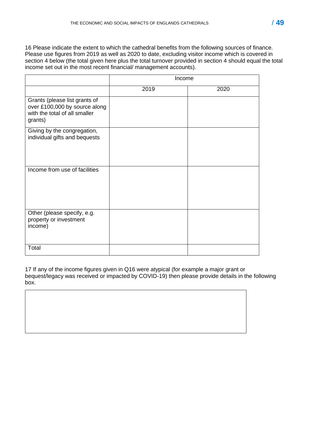16 Please indicate the extent to which the cathedral benefits from the following sources of finance. Please use figures from 2019 as well as 2020 to date, excluding visitor income which is covered in section 4 below (the total given here plus the total turnover provided in section 4 should equal the total income set out in the most recent financial/ management accounts).

|                                                                                                            | Income |      |
|------------------------------------------------------------------------------------------------------------|--------|------|
|                                                                                                            | 2019   | 2020 |
| Grants (please list grants of<br>over £100,000 by source along<br>with the total of all smaller<br>grants) |        |      |
| Giving by the congregation,<br>individual gifts and bequests                                               |        |      |
| Income from use of facilities                                                                              |        |      |
| Other (please specify, e.g.<br>property or investment<br>income)                                           |        |      |
| Total                                                                                                      |        |      |

17 If any of the income figures given in Q16 were atypical (for example a major grant or bequest/legacy was received or impacted by COVID-19) then please provide details in the following box.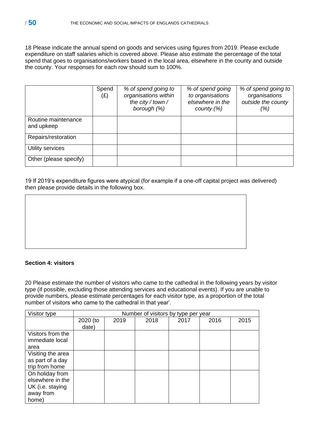18 Please indicate the annual spend on goods and services using figures from 2019. Please exclude expenditure on staff salaries which is covered above. Please also estimate the percentage of the total spend that goes to organisations/workers based in the local area, elsewhere in the county and outside the county. Your responses for each row should sum to 100%.

|                                   | Spend<br>$(\pounds)$ | % of spend going to<br>organisations within<br>the city / town /<br>borough (%) | % of spend going<br>to organisations<br>elsewhere in the<br>county $(\%)$ | % of spend going to<br>organisations<br>outside the county<br>(%) |
|-----------------------------------|----------------------|---------------------------------------------------------------------------------|---------------------------------------------------------------------------|-------------------------------------------------------------------|
| Routine maintenance<br>and upkeep |                      |                                                                                 |                                                                           |                                                                   |
| Repairs/restoration               |                      |                                                                                 |                                                                           |                                                                   |
| Utility services                  |                      |                                                                                 |                                                                           |                                                                   |
| Other (please specify)            |                      |                                                                                 |                                                                           |                                                                   |

19 If 2019's expenditure figures were atypical (for example if a one-off capital project was delivered) then please provide details in the following box.

### **Section 4: visitors**

20 Please estimate the number of visitors who came to the cathedral in the following years by visitor type (if possible, excluding those attending services and educational events). If you are unable to provide numbers, please estimate percentages for each visitor type, as a proportion of the total number of visitors who came to the cathedral in that year'.

| Visitor type      |          | Number of visitors by type per year |      |      |      |      |
|-------------------|----------|-------------------------------------|------|------|------|------|
|                   | 2020 (to | 2019                                | 2018 | 2017 | 2016 | 2015 |
|                   | date)    |                                     |      |      |      |      |
| Visitors from the |          |                                     |      |      |      |      |
| immediate local   |          |                                     |      |      |      |      |
| area              |          |                                     |      |      |      |      |
| Visiting the area |          |                                     |      |      |      |      |
| as part of a day  |          |                                     |      |      |      |      |
| trip from home    |          |                                     |      |      |      |      |
| On holiday from   |          |                                     |      |      |      |      |
| elsewhere in the  |          |                                     |      |      |      |      |
| UK (i.e. staying  |          |                                     |      |      |      |      |
| away from         |          |                                     |      |      |      |      |
| home)             |          |                                     |      |      |      |      |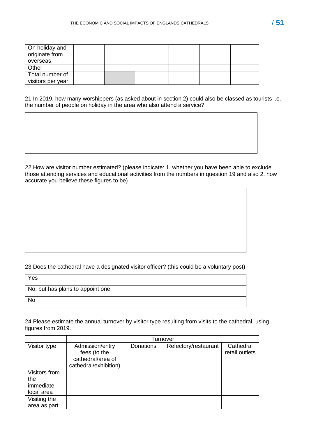| On holiday and<br>originate from<br>overseas |  |  |  |
|----------------------------------------------|--|--|--|
| Other                                        |  |  |  |
| Total number of<br>visitors per year         |  |  |  |

21 In 2019, how many worshippers (as asked about in section 2) could also be classed as tourists i.e. the number of people on holiday in the area who also attend a service?

22 How are visitor number estimated? (please indicate: 1. whether you have been able to exclude those attending services and educational activities from the numbers in question 19 and also 2. how accurate you believe these figures to be)

### 23 Does the cathedral have a designated visitor officer? (this could be a voluntary post)

| Yes                              |  |
|----------------------------------|--|
| No, but has plans to appoint one |  |
| No                               |  |

24 Please estimate the annual turnover by visitor type resulting from visits to the cathedral, using figures from 2019.

|               | Turnover                                                                      |           |                      |                             |
|---------------|-------------------------------------------------------------------------------|-----------|----------------------|-----------------------------|
| Visitor type  | Admission/entry<br>fees (to the<br>cathedral/area of<br>cathedral/exhibition) | Donations | Refectory/restaurant | Cathedral<br>retail outlets |
| Visitors from |                                                                               |           |                      |                             |
| the           |                                                                               |           |                      |                             |
| immediate     |                                                                               |           |                      |                             |
| local area    |                                                                               |           |                      |                             |
| Visiting the  |                                                                               |           |                      |                             |
| area as part  |                                                                               |           |                      |                             |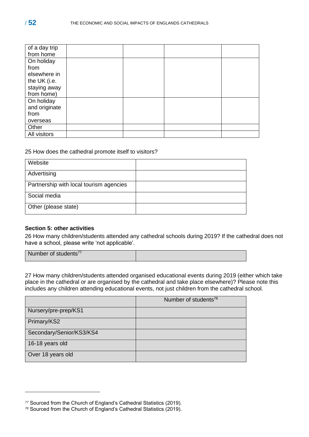| of a day trip |  |  |
|---------------|--|--|
| from home     |  |  |
| On holiday    |  |  |
| from          |  |  |
| elsewhere in  |  |  |
| the UK (i.e.  |  |  |
| staying away  |  |  |
| from home)    |  |  |
| On holiday    |  |  |
| and originate |  |  |
| from          |  |  |
| overseas      |  |  |
| Other         |  |  |
| All visitors  |  |  |

### 25 How does the cathedral promote itself to visitors?

| Website                                 |  |
|-----------------------------------------|--|
| Advertising                             |  |
| Partnership with local tourism agencies |  |
| Social media                            |  |
| Other (please state)                    |  |

### **Section 5: other activities**

26 How many children/students attended any cathedral schools during 2019? If the cathedral does not have a school, please write 'not applicable'.

| Number of students <sup>77</sup> |
|----------------------------------|
|----------------------------------|

27 How many children/students attended organised educational events during 2019 (either which take place in the cathedral or are organised by the cathedral and take place elsewhere)? Please note this includes any children attending educational events, not just children from the cathedral school.

|                          | Number of students <sup>78</sup> |
|--------------------------|----------------------------------|
| Nursery/pre-prep/KS1     |                                  |
| Primary/KS2              |                                  |
| Secondary/Senior/KS3/KS4 |                                  |
| 16-18 years old          |                                  |
| Over 18 years old        |                                  |

*<sup>77</sup>* Sourced from the Church of England's Cathedral Statistics (2019).

*<sup>78</sup>* Sourced from the Church of England's Cathedral Statistics (2019).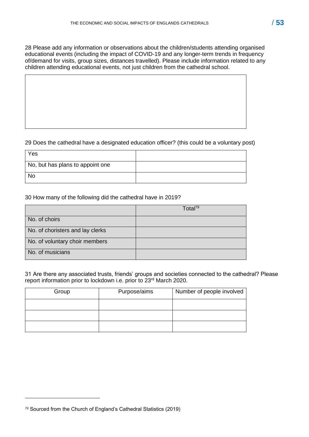28 Please add any information or observations about the children/students attending organised educational events (including the impact of COVID-19 and any longer-term trends in frequency of/demand for visits, group sizes, distances travelled). Please include information related to any children attending educational events, not just children from the cathedral school.

### 29 Does the cathedral have a designated education officer? (this could be a voluntary post)

| Yes                              |  |
|----------------------------------|--|
| No, but has plans to appoint one |  |
| <b>No</b>                        |  |

### 30 How many of the following did the cathedral have in 2019?

|                                  | Total $^{79}$ |
|----------------------------------|---------------|
| No. of choirs                    |               |
| No. of choristers and lay clerks |               |
| No. of voluntary choir members   |               |
| No. of musicians                 |               |

31 Are there any associated trusts, friends' groups and societies connected to the cathedral? Please report information prior to lockdown i.e. prior to 23<sup>rd</sup> March 2020.

| Group | Purpose/aims | Number of people involved |
|-------|--------------|---------------------------|
|       |              |                           |
|       |              |                           |
|       |              |                           |

*<sup>79</sup>* Sourced from the Church of England's Cathedral Statistics (2019)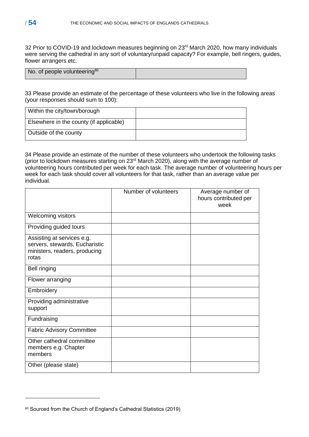32 Prior to COVID-19 and lockdown measures beginning on 23<sup>rd</sup> March 2020, how many individuals were serving the cathedral in any sort of voluntary/unpaid capacity? For example, bell ringers, guides, flower arrangers etc.

| No. of people volunteering <sup>80</sup> |  |
|------------------------------------------|--|
|                                          |  |

33 Please provide an estimate of the percentage of these volunteers who live in the following areas (your responses should sum to 100):

| Within the city/town/borough            |  |
|-----------------------------------------|--|
| Elsewhere in the county (if applicable) |  |
| Outside of the county                   |  |

34 Please provide an estimate of the number of these volunteers who undertook the following tasks (prior to lockdown measures starting on 23rd March 2020), along with the average number of volunteering hours contributed per week for each task. The average number of volunteering hours per week for each task should cover all volunteers for that task, rather than an average value per individual.

|                                                                                                        | Number of volunteers | Average number of<br>hours contributed per<br>week |
|--------------------------------------------------------------------------------------------------------|----------------------|----------------------------------------------------|
| Welcoming visitors                                                                                     |                      |                                                    |
| Providing guided tours                                                                                 |                      |                                                    |
| Assisting at services e.g.<br>servers, stewards, Eucharistic<br>ministers, readers, producing<br>rotas |                      |                                                    |
| <b>Bell ringing</b>                                                                                    |                      |                                                    |
| Flower arranging                                                                                       |                      |                                                    |
| Embroidery                                                                                             |                      |                                                    |
| Providing administrative<br>support                                                                    |                      |                                                    |
| Fundraising                                                                                            |                      |                                                    |
| <b>Fabric Advisory Committee</b>                                                                       |                      |                                                    |
| Other cathedral committee<br>members e.g. Chapter<br>members                                           |                      |                                                    |
| Other (please state)                                                                                   |                      |                                                    |

*<sup>80</sup>* Sourced from the Church of England's Cathedral Statistics (2019)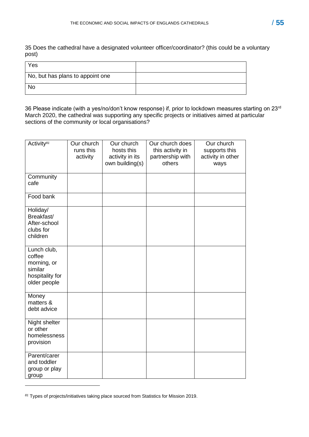35 Does the cathedral have a designated volunteer officer/coordinator? (this could be a voluntary post)

| Yes                              |  |
|----------------------------------|--|
| No, but has plans to appoint one |  |
| No                               |  |

36 Please indicate (with a yes/no/don't know response) if, prior to lockdown measures starting on 23<sup>rd</sup> March 2020, the cathedral was supporting any specific projects or initiatives aimed at particular sections of the community or local organisations?

| Activity <sup>81</sup>                                                             | Our church<br>runs this<br>activity | Our church<br>hosts this<br>activity in its<br>own building(s) | Our church does<br>this activity in<br>partnership with<br>others | Our church<br>supports this<br>activity in other<br>ways |
|------------------------------------------------------------------------------------|-------------------------------------|----------------------------------------------------------------|-------------------------------------------------------------------|----------------------------------------------------------|
| Community<br>cafe                                                                  |                                     |                                                                |                                                                   |                                                          |
| Food bank                                                                          |                                     |                                                                |                                                                   |                                                          |
| Holiday/<br>Breakfast/<br>After-school<br>clubs for<br>children                    |                                     |                                                                |                                                                   |                                                          |
| Lunch club,<br>coffee<br>morning, or<br>similar<br>hospitality for<br>older people |                                     |                                                                |                                                                   |                                                          |
| Money<br>matters &<br>debt advice                                                  |                                     |                                                                |                                                                   |                                                          |
| Night shelter<br>or other<br>homelessness<br>provision                             |                                     |                                                                |                                                                   |                                                          |
| Parent/carer<br>and toddler<br>group or play<br>group                              |                                     |                                                                |                                                                   |                                                          |

*<sup>81</sup>* Types of projects/initiatives taking place sourced from Statistics for Mission 2019.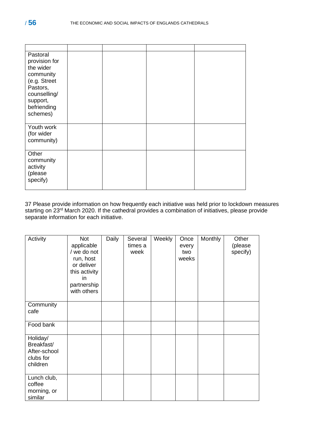| Pastoral<br>provision for<br>the wider<br>community<br>(e.g. Street<br>Pastors,<br>counselling/<br>support,<br>befriending<br>schemes) |  |  |
|----------------------------------------------------------------------------------------------------------------------------------------|--|--|
| Youth work<br>(for wider<br>community)                                                                                                 |  |  |
| Other<br>community<br>activity<br>(please<br>specify)                                                                                  |  |  |

37 Please provide information on how frequently each initiative was held prior to lockdown measures starting on 23<sup>rd</sup> March 2020. If the cathedral provides a combination of initiatives, please provide separate information for each initiative.

| Activity                                                        | Not<br>applicable<br>/ we do not<br>run, host<br>or deliver<br>this activity<br>in<br>partnership<br>with others | Daily | Several<br>times a<br>week | Weekly | Once<br>every<br>two<br>weeks | Monthly | Other<br>(please<br>specify) |
|-----------------------------------------------------------------|------------------------------------------------------------------------------------------------------------------|-------|----------------------------|--------|-------------------------------|---------|------------------------------|
| Community<br>cafe                                               |                                                                                                                  |       |                            |        |                               |         |                              |
| Food bank                                                       |                                                                                                                  |       |                            |        |                               |         |                              |
| Holiday/<br>Breakfast/<br>After-school<br>clubs for<br>children |                                                                                                                  |       |                            |        |                               |         |                              |
| Lunch club,<br>coffee<br>morning, or<br>similar                 |                                                                                                                  |       |                            |        |                               |         |                              |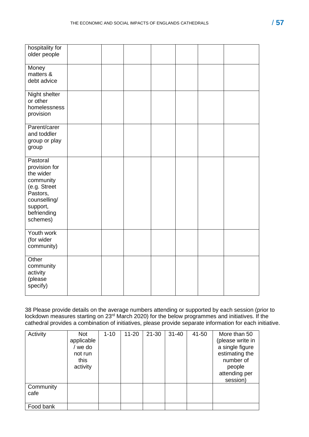| hospitality for<br>older people                                                                                                        |  |  |  |  |
|----------------------------------------------------------------------------------------------------------------------------------------|--|--|--|--|
| Money<br>matters &<br>debt advice                                                                                                      |  |  |  |  |
| Night shelter<br>or other<br>homelessness<br>provision                                                                                 |  |  |  |  |
| Parent/carer<br>and toddler<br>group or play<br>group                                                                                  |  |  |  |  |
| Pastoral<br>provision for<br>the wider<br>community<br>(e.g. Street<br>Pastors,<br>counselling/<br>support,<br>befriending<br>schemes) |  |  |  |  |
| Youth work<br>(for wider<br>community)                                                                                                 |  |  |  |  |
| Other<br>community<br>activity<br>(please<br>specify)                                                                                  |  |  |  |  |

38 Please provide details on the average numbers attending or supported by each session (prior to lockdown measures starting on 23<sup>rd</sup> March 2020) for the below programmes and initiatives. If the cathedral provides a combination of initiatives, please provide separate information for each initiative.

| Activity          | <b>Not</b><br>applicable<br>we do<br>not run<br>this<br>activity | $1 - 10$ | $11 - 20$ | $21 - 30$ | $31 - 40$ | 41-50 | More than 50<br>(please write in<br>a single figure<br>estimating the<br>number of<br>people<br>attending per<br>session) |
|-------------------|------------------------------------------------------------------|----------|-----------|-----------|-----------|-------|---------------------------------------------------------------------------------------------------------------------------|
| Community<br>cafe |                                                                  |          |           |           |           |       |                                                                                                                           |
| Food bank         |                                                                  |          |           |           |           |       |                                                                                                                           |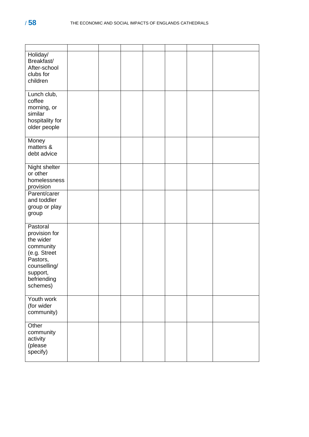| Holiday/<br>Breakfast/<br>After-school<br>clubs for<br>children                                                                        |  |  |  |  |
|----------------------------------------------------------------------------------------------------------------------------------------|--|--|--|--|
| Lunch club,<br>coffee<br>morning, or<br>similar<br>hospitality for<br>older people                                                     |  |  |  |  |
| Money<br>matters &<br>debt advice                                                                                                      |  |  |  |  |
| Night shelter<br>or other<br>homelessness<br>provision                                                                                 |  |  |  |  |
| Parent/carer<br>and toddler<br>group or play<br>group                                                                                  |  |  |  |  |
| Pastoral<br>provision for<br>the wider<br>community<br>(e.g. Street<br>Pastors,<br>counselling/<br>support,<br>befriending<br>schemes) |  |  |  |  |
| Youth work<br>(for wider<br>community)                                                                                                 |  |  |  |  |
| Other<br>community<br>activity<br>(please<br>specify)                                                                                  |  |  |  |  |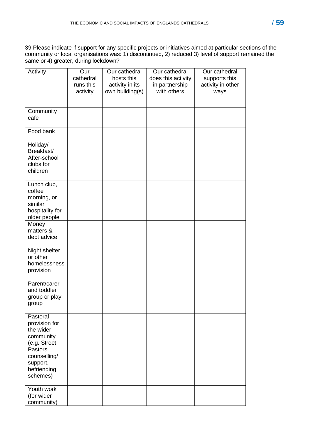39 Please indicate if support for any specific projects or initiatives aimed at particular sections of the community or local organisations was: 1) discontinued, 2) reduced 3) level of support remained the same or 4) greater, during lockdown?

| Activity                                                                                                                               | Our<br>cathedral<br>runs this<br>activity | Our cathedral<br>hosts this<br>activity in its<br>own building(s) | Our cathedral<br>does this activity<br>in partnership<br>with others | Our cathedral<br>supports this<br>activity in other<br>ways |
|----------------------------------------------------------------------------------------------------------------------------------------|-------------------------------------------|-------------------------------------------------------------------|----------------------------------------------------------------------|-------------------------------------------------------------|
| Community<br>cafe                                                                                                                      |                                           |                                                                   |                                                                      |                                                             |
| Food bank                                                                                                                              |                                           |                                                                   |                                                                      |                                                             |
| Holiday/<br>Breakfast/<br>After-school<br>clubs for<br>children                                                                        |                                           |                                                                   |                                                                      |                                                             |
| Lunch club,<br>coffee<br>morning, or<br>similar<br>hospitality for<br>older people                                                     |                                           |                                                                   |                                                                      |                                                             |
| Money<br>matters &<br>debt advice                                                                                                      |                                           |                                                                   |                                                                      |                                                             |
| Night shelter<br>or other<br>homelessness<br>provision                                                                                 |                                           |                                                                   |                                                                      |                                                             |
| Parent/carer<br>and toddler<br>group or play<br>group                                                                                  |                                           |                                                                   |                                                                      |                                                             |
| Pastoral<br>provision for<br>the wider<br>community<br>(e.g. Street<br>Pastors,<br>counselling/<br>support,<br>befriending<br>schemes) |                                           |                                                                   |                                                                      |                                                             |
| Youth work<br>(for wider<br>community)                                                                                                 |                                           |                                                                   |                                                                      |                                                             |